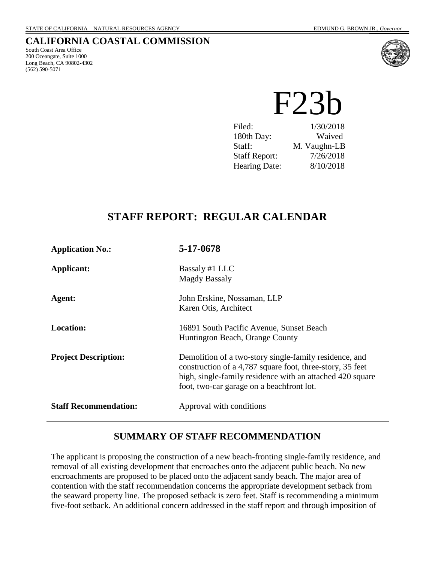# **CALIFORNIA COASTAL COMMISSION**

South Coast Area Office 200 Oceangate, Suite 1000 Long Beach, CA 90802-4302 (562) 590-5071



F23b

Filed:  $1/30/2018$ 180th Day: Waived Staff: M. Vaughn-LB Staff Report: 7/26/2018 Hearing Date: 8/10/2018

# **STAFF REPORT: REGULAR CALENDAR**

| <b>Application No.:</b>      | 5-17-0678                                                                                                                                                                                                                     |
|------------------------------|-------------------------------------------------------------------------------------------------------------------------------------------------------------------------------------------------------------------------------|
| Applicant:                   | Bassaly #1 LLC<br><b>Magdy Bassaly</b>                                                                                                                                                                                        |
| Agent:                       | John Erskine, Nossaman, LLP<br>Karen Otis, Architect                                                                                                                                                                          |
| <b>Location:</b>             | 16891 South Pacific Avenue, Sunset Beach<br>Huntington Beach, Orange County                                                                                                                                                   |
| <b>Project Description:</b>  | Demolition of a two-story single-family residence, and<br>construction of a 4,787 square foot, three-story, 35 feet<br>high, single-family residence with an attached 420 square<br>foot, two-car garage on a beachfront lot. |
| <b>Staff Recommendation:</b> | Approval with conditions                                                                                                                                                                                                      |

# **SUMMARY OF STAFF RECOMMENDATION**

The applicant is proposing the construction of a new beach-fronting single-family residence, and removal of all existing development that encroaches onto the adjacent public beach. No new encroachments are proposed to be placed onto the adjacent sandy beach. The major area of contention with the staff recommendation concerns the appropriate development setback from the seaward property line. The proposed setback is zero feet. Staff is recommending a minimum five-foot setback. An additional concern addressed in the staff report and through imposition of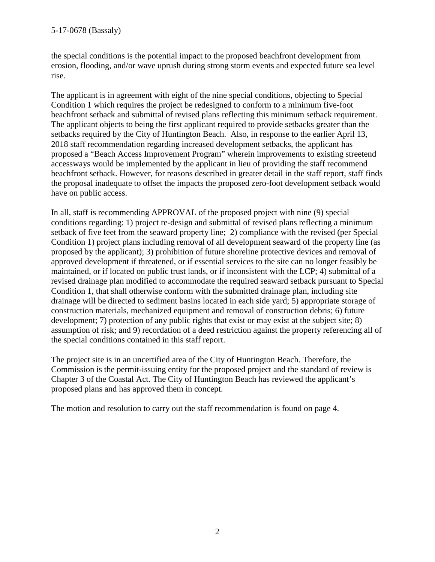the special conditions is the potential impact to the proposed beachfront development from erosion, flooding, and/or wave uprush during strong storm events and expected future sea level rise.

The applicant is in agreement with eight of the nine special conditions, objecting to Special Condition 1 which requires the project be redesigned to conform to a minimum five-foot beachfront setback and submittal of revised plans reflecting this minimum setback requirement. The applicant objects to being the first applicant required to provide setbacks greater than the setbacks required by the City of Huntington Beach. Also, in response to the earlier April 13, 2018 staff recommendation regarding increased development setbacks, the applicant has proposed a "Beach Access Improvement Program" wherein improvements to existing streetend accessways would be implemented by the applicant in lieu of providing the staff recommend beachfront setback. However, for reasons described in greater detail in the staff report, staff finds the proposal inadequate to offset the impacts the proposed zero-foot development setback would have on public access.

In all, staff is recommending APPROVAL of the proposed project with nine (9) special conditions regarding: 1) project re-design and submittal of revised plans reflecting a minimum setback of five feet from the seaward property line; 2) compliance with the revised (per Special Condition 1) project plans including removal of all development seaward of the property line (as proposed by the applicant); 3) prohibition of future shoreline protective devices and removal of approved development if threatened, or if essential services to the site can no longer feasibly be maintained, or if located on public trust lands, or if inconsistent with the LCP; 4) submittal of a revised drainage plan modified to accommodate the required seaward setback pursuant to Special Condition 1, that shall otherwise conform with the submitted drainage plan, including site drainage will be directed to sediment basins located in each side yard; 5) appropriate storage of construction materials, mechanized equipment and removal of construction debris; 6) future development; 7) protection of any public rights that exist or may exist at the subject site; 8) assumption of risk; and 9) recordation of a deed restriction against the property referencing all of the special conditions contained in this staff report.

The project site is in an uncertified area of the City of Huntington Beach. Therefore, the Commission is the permit-issuing entity for the proposed project and the standard of review is Chapter 3 of the Coastal Act. The City of Huntington Beach has reviewed the applicant's proposed plans and has approved them in concept.

The motion and resolution to carry out the staff recommendation is found on page 4.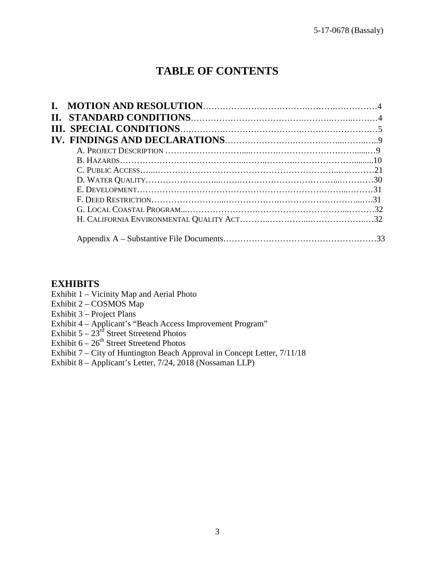# **TABLE OF CONTENTS**

# **EXHIBITS**

- Exhibit 1 Vicinity Map and Aerial Photo
- Exhibit 2 COSMOS Map
- Exhibit 3 Project Plans
- Exhibit 4 Applicant's "Beach Access Improvement Program"
- Exhibit  $5 23<sup>rd</sup>$  Street Streetend Photos
- Exhibit  $6-26^{th}$  Street Streetend Photos
- Exhibit 7 City of Huntington Beach Approval in Concept Letter, 7/11/18
- Exhibit 8 Applicant's Letter, 7/24, 2018 (Nossaman LLP)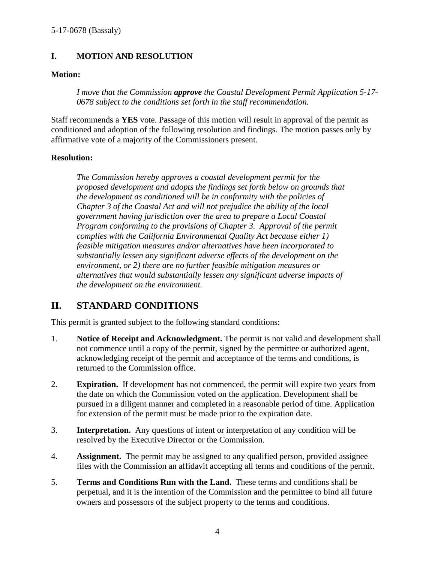# **I. MOTION AND RESOLUTION**

# **Motion:**

*I move that the Commission approve the Coastal Development Permit Application 5-17- 0678 subject to the conditions set forth in the staff recommendation.* 

Staff recommends a **YES** vote. Passage of this motion will result in approval of the permit as conditioned and adoption of the following resolution and findings. The motion passes only by affirmative vote of a majority of the Commissioners present.

# **Resolution:**

*The Commission hereby approves a coastal development permit for the proposed development and adopts the findings set forth below on grounds that the development as conditioned will be in conformity with the policies of Chapter 3 of the Coastal Act and will not prejudice the ability of the local government having jurisdiction over the area to prepare a Local Coastal Program conforming to the provisions of Chapter 3. Approval of the permit complies with the California Environmental Quality Act because either 1) feasible mitigation measures and/or alternatives have been incorporated to substantially lessen any significant adverse effects of the development on the environment, or 2) there are no further feasible mitigation measures or alternatives that would substantially lessen any significant adverse impacts of the development on the environment.* 

# **II. STANDARD CONDITIONS**

This permit is granted subject to the following standard conditions:

- 1. **Notice of Receipt and Acknowledgment.** The permit is not valid and development shall not commence until a copy of the permit, signed by the permittee or authorized agent, acknowledging receipt of the permit and acceptance of the terms and conditions, is returned to the Commission office.
- 2. **Expiration.** If development has not commenced, the permit will expire two years from the date on which the Commission voted on the application. Development shall be pursued in a diligent manner and completed in a reasonable period of time. Application for extension of the permit must be made prior to the expiration date.
- 3. **Interpretation.** Any questions of intent or interpretation of any condition will be resolved by the Executive Director or the Commission.
- 4. **Assignment.** The permit may be assigned to any qualified person, provided assignee files with the Commission an affidavit accepting all terms and conditions of the permit.
- 5. **Terms and Conditions Run with the Land.** These terms and conditions shall be perpetual, and it is the intention of the Commission and the permittee to bind all future owners and possessors of the subject property to the terms and conditions.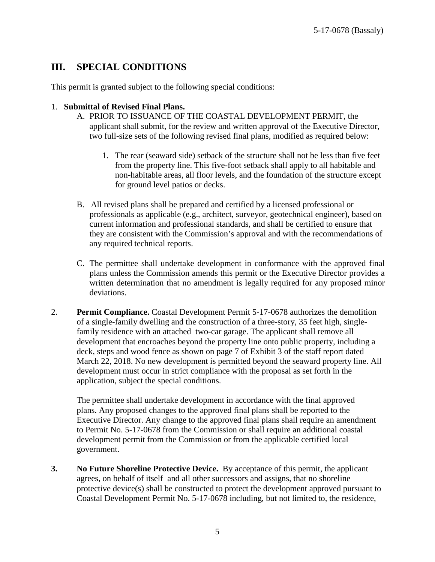# **III. SPECIAL CONDITIONS**

This permit is granted subject to the following special conditions:

### 1. **Submittal of Revised Final Plans.**

- A. PRIOR TO ISSUANCE OF THE COASTAL DEVELOPMENT PERMIT, the applicant shall submit, for the review and written approval of the Executive Director, two full-size sets of the following revised final plans, modified as required below:
	- 1. The rear (seaward side) setback of the structure shall not be less than five feet from the property line. This five-foot setback shall apply to all habitable and non-habitable areas, all floor levels, and the foundation of the structure except for ground level patios or decks.
- B. All revised plans shall be prepared and certified by a licensed professional or professionals as applicable (e.g., architect, surveyor, geotechnical engineer), based on current information and professional standards, and shall be certified to ensure that they are consistent with the Commission's approval and with the recommendations of any required technical reports.
- C. The permittee shall undertake development in conformance with the approved final plans unless the Commission amends this permit or the Executive Director provides a written determination that no amendment is legally required for any proposed minor deviations.
- 2. **Permit Compliance.** Coastal Development Permit 5-17-0678 authorizes the demolition of a single-family dwelling and the construction of a three-story, 35 feet high, singlefamily residence with an attached two-car garage. The applicant shall remove all development that encroaches beyond the property line onto public property, including a deck, steps and wood fence as shown on page 7 of Exhibit 3 of the staff report dated March 22, 2018. No new development is permitted beyond the seaward property line. All development must occur in strict compliance with the proposal as set forth in the application, subject the special conditions.

The permittee shall undertake development in accordance with the final approved plans. Any proposed changes to the approved final plans shall be reported to the Executive Director. Any change to the approved final plans shall require an amendment to Permit No. 5-17-0678 from the Commission or shall require an additional coastal development permit from the Commission or from the applicable certified local government.

**3. No Future Shoreline Protective Device.** By acceptance of this permit, the applicant agrees, on behalf of itself and all other successors and assigns, that no shoreline protective device(s) shall be constructed to protect the development approved pursuant to Coastal Development Permit No. 5-17-0678 including, but not limited to, the residence,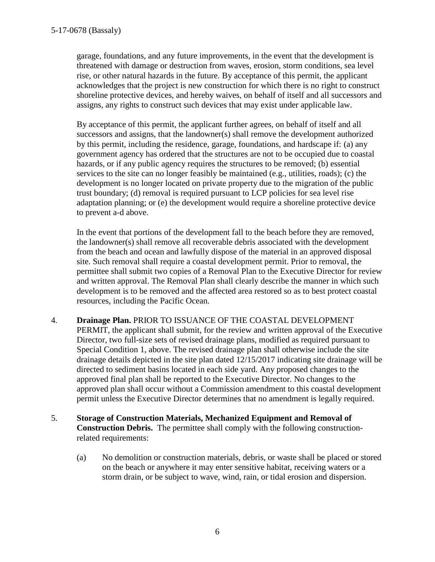garage, foundations, and any future improvements, in the event that the development is threatened with damage or destruction from waves, erosion, storm conditions, sea level rise, or other natural hazards in the future. By acceptance of this permit, the applicant acknowledges that the project is new construction for which there is no right to construct shoreline protective devices, and hereby waives, on behalf of itself and all successors and assigns, any rights to construct such devices that may exist under applicable law.

By acceptance of this permit, the applicant further agrees, on behalf of itself and all successors and assigns, that the landowner(s) shall remove the development authorized by this permit, including the residence, garage, foundations, and hardscape if: (a) any government agency has ordered that the structures are not to be occupied due to coastal hazards, or if any public agency requires the structures to be removed; (b) essential services to the site can no longer feasibly be maintained (e.g., utilities, roads); (c) the development is no longer located on private property due to the migration of the public trust boundary; (d) removal is required pursuant to LCP policies for sea level rise adaptation planning; or (e) the development would require a shoreline protective device to prevent a-d above.

In the event that portions of the development fall to the beach before they are removed, the landowner(s) shall remove all recoverable debris associated with the development from the beach and ocean and lawfully dispose of the material in an approved disposal site. Such removal shall require a coastal development permit. Prior to removal, the permittee shall submit two copies of a Removal Plan to the Executive Director for review and written approval. The Removal Plan shall clearly describe the manner in which such development is to be removed and the affected area restored so as to best protect coastal resources, including the Pacific Ocean.

- 4. **Drainage Plan.** PRIOR TO ISSUANCE OF THE COASTAL DEVELOPMENT PERMIT, the applicant shall submit, for the review and written approval of the Executive Director, two full-size sets of revised drainage plans, modified as required pursuant to Special Condition 1, above. The revised drainage plan shall otherwise include the site drainage details depicted in the site plan dated 12/15/2017 indicating site drainage will be directed to sediment basins located in each side yard. Any proposed changes to the approved final plan shall be reported to the Executive Director. No changes to the approved plan shall occur without a Commission amendment to this coastal development permit unless the Executive Director determines that no amendment is legally required.
- 5. **Storage of Construction Materials, Mechanized Equipment and Removal of Construction Debris.** The permittee shall comply with the following constructionrelated requirements:
	- (a) No demolition or construction materials, debris, or waste shall be placed or stored on the beach or anywhere it may enter sensitive habitat, receiving waters or a storm drain, or be subject to wave, wind, rain, or tidal erosion and dispersion.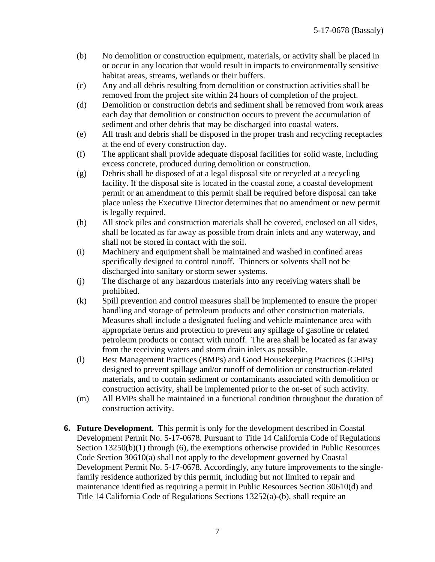- (b) No demolition or construction equipment, materials, or activity shall be placed in or occur in any location that would result in impacts to environmentally sensitive habitat areas, streams, wetlands or their buffers.
- (c) Any and all debris resulting from demolition or construction activities shall be removed from the project site within 24 hours of completion of the project.
- (d) Demolition or construction debris and sediment shall be removed from work areas each day that demolition or construction occurs to prevent the accumulation of sediment and other debris that may be discharged into coastal waters.
- (e) All trash and debris shall be disposed in the proper trash and recycling receptacles at the end of every construction day.
- (f) The applicant shall provide adequate disposal facilities for solid waste, including excess concrete, produced during demolition or construction.
- (g) Debris shall be disposed of at a legal disposal site or recycled at a recycling facility. If the disposal site is located in the coastal zone, a coastal development permit or an amendment to this permit shall be required before disposal can take place unless the Executive Director determines that no amendment or new permit is legally required.
- (h) All stock piles and construction materials shall be covered, enclosed on all sides, shall be located as far away as possible from drain inlets and any waterway, and shall not be stored in contact with the soil.
- (i) Machinery and equipment shall be maintained and washed in confined areas specifically designed to control runoff. Thinners or solvents shall not be discharged into sanitary or storm sewer systems.
- (j) The discharge of any hazardous materials into any receiving waters shall be prohibited.
- (k) Spill prevention and control measures shall be implemented to ensure the proper handling and storage of petroleum products and other construction materials. Measures shall include a designated fueling and vehicle maintenance area with appropriate berms and protection to prevent any spillage of gasoline or related petroleum products or contact with runoff. The area shall be located as far away from the receiving waters and storm drain inlets as possible.
- (l) Best Management Practices (BMPs) and Good Housekeeping Practices (GHPs) designed to prevent spillage and/or runoff of demolition or construction-related materials, and to contain sediment or contaminants associated with demolition or construction activity, shall be implemented prior to the on-set of such activity.
- (m) All BMPs shall be maintained in a functional condition throughout the duration of construction activity.
- **6. Future Development.** This permit is only for the development described in Coastal Development Permit No. 5-17-0678. Pursuant to Title 14 California Code of Regulations Section 13250(b)(1) through (6), the exemptions otherwise provided in Public Resources Code Section 30610(a) shall not apply to the development governed by Coastal Development Permit No. 5-17-0678. Accordingly, any future improvements to the singlefamily residence authorized by this permit, including but not limited to repair and maintenance identified as requiring a permit in Public Resources Section 30610(d) and Title 14 California Code of Regulations Sections 13252(a)-(b), shall require an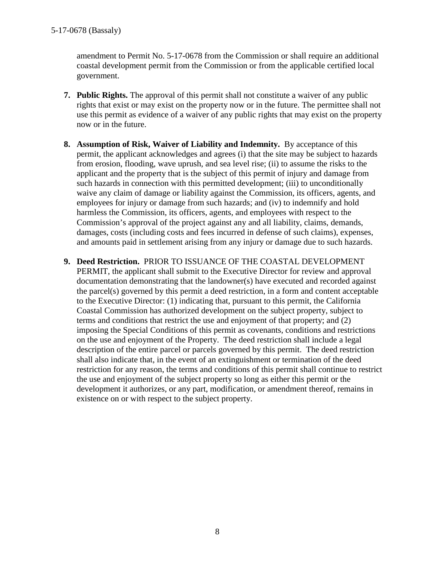amendment to Permit No. 5-17-0678 from the Commission or shall require an additional coastal development permit from the Commission or from the applicable certified local government.

- **7. Public Rights.** The approval of this permit shall not constitute a waiver of any public rights that exist or may exist on the property now or in the future. The permittee shall not use this permit as evidence of a waiver of any public rights that may exist on the property now or in the future.
- **8. Assumption of Risk, Waiver of Liability and Indemnity.** By acceptance of this permit, the applicant acknowledges and agrees (i) that the site may be subject to hazards from erosion, flooding, wave uprush, and sea level rise; (ii) to assume the risks to the applicant and the property that is the subject of this permit of injury and damage from such hazards in connection with this permitted development; (iii) to unconditionally waive any claim of damage or liability against the Commission, its officers, agents, and employees for injury or damage from such hazards; and (iv) to indemnify and hold harmless the Commission, its officers, agents, and employees with respect to the Commission's approval of the project against any and all liability, claims, demands, damages, costs (including costs and fees incurred in defense of such claims), expenses, and amounts paid in settlement arising from any injury or damage due to such hazards.
- **9. Deed Restriction.** PRIOR TO ISSUANCE OF THE COASTAL DEVELOPMENT PERMIT, the applicant shall submit to the Executive Director for review and approval documentation demonstrating that the landowner(s) have executed and recorded against the parcel(s) governed by this permit a deed restriction, in a form and content acceptable to the Executive Director: (1) indicating that, pursuant to this permit, the California Coastal Commission has authorized development on the subject property, subject to terms and conditions that restrict the use and enjoyment of that property; and (2) imposing the Special Conditions of this permit as covenants, conditions and restrictions on the use and enjoyment of the Property. The deed restriction shall include a legal description of the entire parcel or parcels governed by this permit. The deed restriction shall also indicate that, in the event of an extinguishment or termination of the deed restriction for any reason, the terms and conditions of this permit shall continue to restrict the use and enjoyment of the subject property so long as either this permit or the development it authorizes, or any part, modification, or amendment thereof, remains in existence on or with respect to the subject property.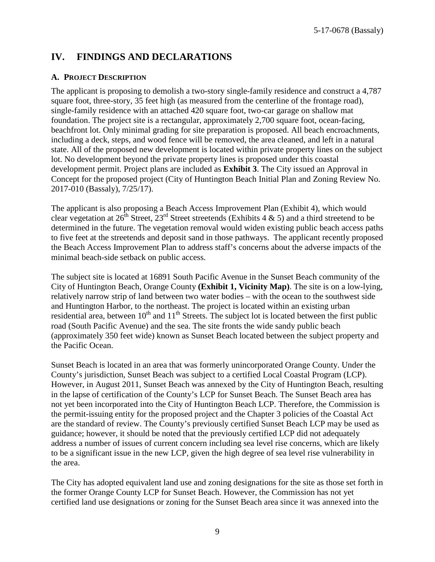# **IV. FINDINGS AND DECLARATIONS**

### **A. PROJECT DESCRIPTION**

The applicant is proposing to demolish a two-story single-family residence and construct a 4,787 square foot, three-story, 35 feet high (as measured from the centerline of the frontage road), single-family residence with an attached 420 square foot, two-car garage on shallow mat foundation. The project site is a rectangular, approximately 2,700 square foot, ocean-facing, beachfront lot. Only minimal grading for site preparation is proposed. All beach encroachments, including a deck, steps, and wood fence will be removed, the area cleaned, and left in a natural state. All of the proposed new development is located within private property lines on the subject lot. No development beyond the private property lines is proposed under this coastal development permit. Project plans are included as **Exhibit 3**. The City issued an Approval in Concept for the proposed project (City of Huntington Beach Initial Plan and Zoning Review No. 2017-010 (Bassaly), 7/25/17).

The applicant is also proposing a Beach Access Improvement Plan (Exhibit 4), which would clear vegetation at  $26^{\text{th}}$  Street,  $23^{\text{rd}}$  Street streetends (Exhibits 4 & 5) and a third streetend to be determined in the future. The vegetation removal would widen existing public beach access paths to five feet at the streetends and deposit sand in those pathways. The applicant recently proposed the Beach Access Improvement Plan to address staff's concerns about the adverse impacts of the minimal beach-side setback on public access.

The subject site is located at 16891 South Pacific Avenue in the Sunset Beach community of the City of Huntington Beach, Orange County **(Exhibit 1, Vicinity Map)**. The site is on a low-lying, relatively narrow strip of land between two water bodies – with the ocean to the southwest side and Huntington Harbor, to the northeast. The project is located within an existing urban residential area, between  $10<sup>th</sup>$  and  $11<sup>th</sup>$  Streets. The subject lot is located between the first public road (South Pacific Avenue) and the sea. The site fronts the wide sandy public beach (approximately 350 feet wide) known as Sunset Beach located between the subject property and the Pacific Ocean.

Sunset Beach is located in an area that was formerly unincorporated Orange County. Under the County's jurisdiction, Sunset Beach was subject to a certified Local Coastal Program (LCP). However, in August 2011, Sunset Beach was annexed by the City of Huntington Beach, resulting in the lapse of certification of the County's LCP for Sunset Beach. The Sunset Beach area has not yet been incorporated into the City of Huntington Beach LCP. Therefore, the Commission is the permit-issuing entity for the proposed project and the Chapter 3 policies of the Coastal Act are the standard of review. The County's previously certified Sunset Beach LCP may be used as guidance; however, it should be noted that the previously certified LCP did not adequately address a number of issues of current concern including sea level rise concerns, which are likely to be a significant issue in the new LCP, given the high degree of sea level rise vulnerability in the area.

The City has adopted equivalent land use and zoning designations for the site as those set forth in the former Orange County LCP for Sunset Beach. However, the Commission has not yet certified land use designations or zoning for the Sunset Beach area since it was annexed into the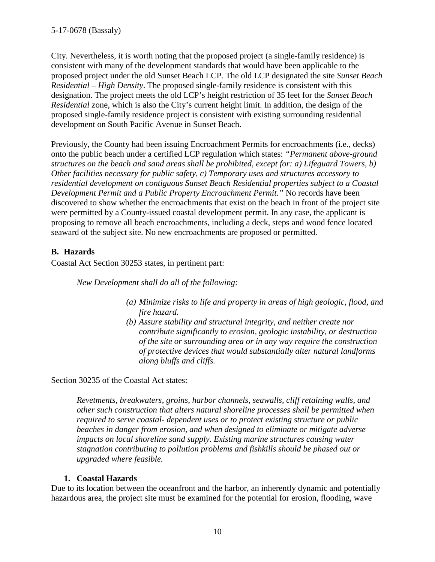City. Nevertheless, it is worth noting that the proposed project (a single-family residence) is consistent with many of the development standards that would have been applicable to the proposed project under the old Sunset Beach LCP. The old LCP designated the site *Sunset Beach Residential – High Density*. The proposed single-family residence is consistent with this designation. The project meets the old LCP's height restriction of 35 feet for the *Sunset Beach Residential* zone, which is also the City's current height limit. In addition, the design of the proposed single-family residence project is consistent with existing surrounding residential development on South Pacific Avenue in Sunset Beach.

Previously, the County had been issuing Encroachment Permits for encroachments (i.e., decks) onto the public beach under a certified LCP regulation which states: *"Permanent above-ground structures on the beach and sand areas shall be prohibited, except for: a) Lifeguard Towers, b) Other facilities necessary for public safety, c) Temporary uses and structures accessory to residential development on contiguous Sunset Beach Residential properties subject to a Coastal Development Permit and a Public Property Encroachment Permit."* No records have been discovered to show whether the encroachments that exist on the beach in front of the project site were permitted by a County-issued coastal development permit. In any case, the applicant is proposing to remove all beach encroachments, including a deck, steps and wood fence located seaward of the subject site. No new encroachments are proposed or permitted.

# **B. Hazards**

Coastal Act Section 30253 states, in pertinent part:

*New Development shall do all of the following:* 

- *(a) Minimize risks to life and property in areas of high geologic, flood, and fire hazard.*
- *(b) Assure stability and structural integrity, and neither create nor contribute significantly to erosion, geologic instability, or destruction of the site or surrounding area or in any way require the construction of protective devices that would substantially alter natural landforms along bluffs and cliffs.*

Section 30235 of the Coastal Act states:

*Revetments, breakwaters, groins, harbor channels, seawalls, cliff retaining walls, and other such construction that alters natural shoreline processes shall be permitted when required to serve coastal- dependent uses or to protect existing structure or public beaches in danger from erosion, and when designed to eliminate or mitigate adverse impacts on local shoreline sand supply. Existing marine structures causing water stagnation contributing to pollution problems and fishkills should be phased out or upgraded where feasible.* 

# **1. Coastal Hazards**

Due to its location between the oceanfront and the harbor, an inherently dynamic and potentially hazardous area, the project site must be examined for the potential for erosion, flooding, wave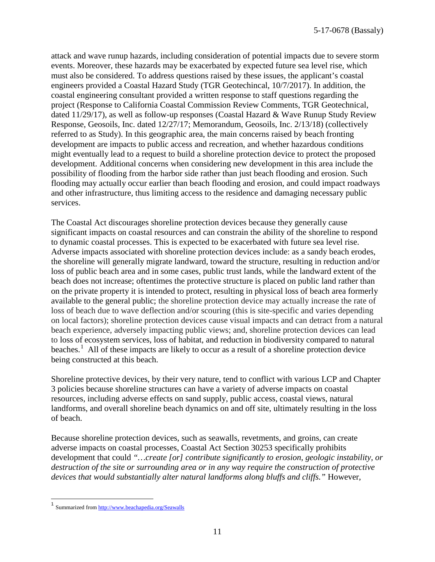attack and wave runup hazards, including consideration of potential impacts due to severe storm events. Moreover, these hazards may be exacerbated by expected future sea level rise, which must also be considered. To address questions raised by these issues, the applicant's coastal engineers provided a Coastal Hazard Study (TGR Geotechincal, 10/7/2017). In addition, the coastal engineering consultant provided a written response to staff questions regarding the project (Response to California Coastal Commission Review Comments, TGR Geotechnical, dated 11/29/17), as well as follow-up responses (Coastal Hazard & Wave Runup Study Review Response, Geosoils, Inc. dated 12/27/17; Memorandum, Geosoils, Inc. 2/13/18) (collectively referred to as Study). In this geographic area, the main concerns raised by beach fronting development are impacts to public access and recreation, and whether hazardous conditions might eventually lead to a request to build a shoreline protection device to protect the proposed development. Additional concerns when considering new development in this area include the possibility of flooding from the harbor side rather than just beach flooding and erosion. Such flooding may actually occur earlier than beach flooding and erosion, and could impact roadways and other infrastructure, thus limiting access to the residence and damaging necessary public services.

The Coastal Act discourages shoreline protection devices because they generally cause significant impacts on coastal resources and can constrain the ability of the shoreline to respond to dynamic coastal processes. This is expected to be exacerbated with future sea level rise. Adverse impacts associated with shoreline protection devices include: as a sandy beach erodes, the shoreline will generally migrate landward, toward the structure, resulting in reduction and/or loss of public beach area and in some cases, public trust lands, while the landward extent of the beach does not increase; oftentimes the protective structure is placed on public land rather than on the private property it is intended to protect, resulting in physical loss of beach area formerly available to the general public; the shoreline protection device may actually increase the rate of loss of beach due to wave deflection and/or scouring (this is site-specific and varies depending on local factors); shoreline protection devices cause visual impacts and can detract from a natural beach experience, adversely impacting public views; and, shoreline protection devices can lead to [loss of ecosystem services,](http://www.esajournals.org/doi/abs/10.1890/14-0716.1) [loss of habitat, and reduction in biodiversity](http://pubs.usgs.gov/sir/2010/5254/pdf/sir20105254_chap19.pdf) compared to natural beaches.<sup>[1](#page-10-0)</sup> All of these impacts are likely to occur as a result of a shoreline protection device being constructed at this beach.

Shoreline protective devices, by their very nature, tend to conflict with various LCP and Chapter 3 policies because shoreline structures can have a variety of adverse impacts on coastal resources, including adverse effects on sand supply, public access, coastal views, natural landforms, and overall shoreline beach dynamics on and off site, ultimately resulting in the loss of beach.

Because shoreline protection devices, such as seawalls, revetments, and groins, can create adverse impacts on coastal processes, Coastal Act Section 30253 specifically prohibits development that could *"…create [or] contribute significantly to erosion, geologic instability, or destruction of the site or surrounding area or in any way require the construction of protective devices that would substantially alter natural landforms along bluffs and cliffs."* However,

<span id="page-10-0"></span><sup>&</sup>lt;sup>1</sup> Summarized fro[m http://www.beachapedia.org/Seawalls](http://www.beachapedia.org/Seawalls)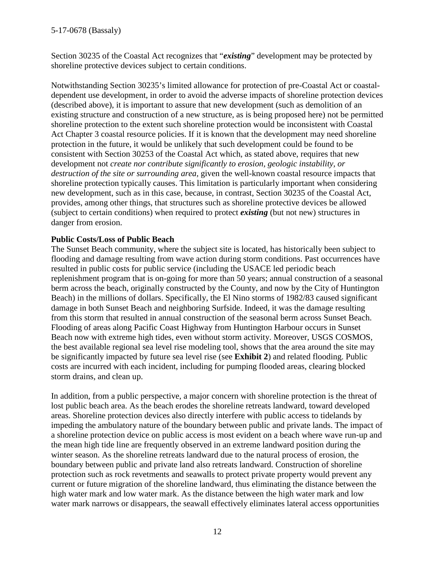Section 30235 of the Coastal Act recognizes that "*existing*" development may be protected by shoreline protective devices subject to certain conditions.

Notwithstanding Section 30235's limited allowance for protection of pre-Coastal Act or coastaldependent use development, in order to avoid the adverse impacts of shoreline protection devices (described above), it is important to assure that new development (such as demolition of an existing structure and construction of a new structure, as is being proposed here) not be permitted shoreline protection to the extent such shoreline protection would be inconsistent with Coastal Act Chapter 3 coastal resource policies. If it is known that the development may need shoreline protection in the future, it would be unlikely that such development could be found to be consistent with Section 30253 of the Coastal Act which, as stated above, requires that new development not *create nor contribute significantly to erosion, geologic instability, or destruction of the site or surrounding area,* given the well-known coastal resource impacts that shoreline protection typically causes. This limitation is particularly important when considering new development, such as in this case, because, in contrast, Section 30235 of the Coastal Act, provides, among other things, that structures such as shoreline protective devices be allowed (subject to certain conditions) when required to protect *existing* (but not new) structures in danger from erosion.

# **Public Costs/Loss of Public Beach**

The Sunset Beach community, where the subject site is located, has historically been subject to flooding and damage resulting from wave action during storm conditions. Past occurrences have resulted in public costs for public service (including the USACE led periodic beach replenishment program that is on-going for more than 50 years; annual construction of a seasonal berm across the beach, originally constructed by the County, and now by the City of Huntington Beach) in the millions of dollars. Specifically, the El Nino storms of 1982/83 caused significant damage in both Sunset Beach and neighboring Surfside. Indeed, it was the damage resulting from this storm that resulted in annual construction of the seasonal berm across Sunset Beach. Flooding of areas along Pacific Coast Highway from Huntington Harbour occurs in Sunset Beach now with extreme high tides, even without storm activity. Moreover, USGS COSMOS, the best available regional sea level rise modeling tool, shows that the area around the site may be significantly impacted by future sea level rise (see **Exhibit 2**) and related flooding. Public costs are incurred with each incident, including for pumping flooded areas, clearing blocked storm drains, and clean up.

In addition, from a public perspective, a major concern with shoreline protection is the threat of lost public beach area. As the beach erodes the shoreline retreats landward, toward developed areas. Shoreline protection devices also directly interfere with public access to tidelands by impeding the ambulatory nature of the boundary between public and private lands. The impact of a shoreline protection device on public access is most evident on a beach where wave run-up and the mean high tide line are frequently observed in an extreme landward position during the winter season. As the shoreline retreats landward due to the natural process of erosion, the boundary between public and private land also retreats landward. Construction of shoreline protection such as rock revetments and seawalls to protect private property would prevent any current or future migration of the shoreline landward, thus eliminating the distance between the high water mark and low water mark. As the distance between the high water mark and low water mark narrows or disappears, the seawall effectively eliminates lateral access opportunities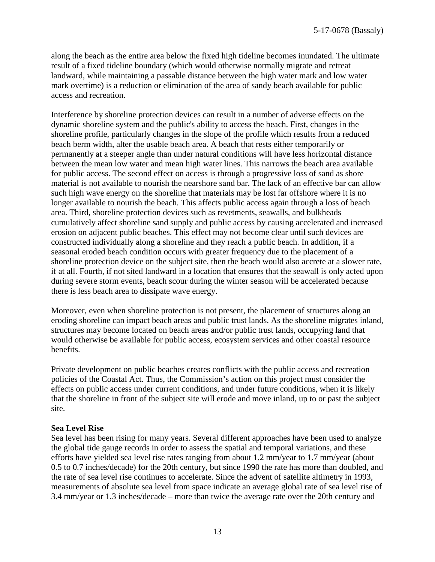along the beach as the entire area below the fixed high tideline becomes inundated. The ultimate result of a fixed tideline boundary (which would otherwise normally migrate and retreat landward, while maintaining a passable distance between the high water mark and low water mark overtime) is a reduction or elimination of the area of sandy beach available for public access and recreation.

Interference by shoreline protection devices can result in a number of adverse effects on the dynamic shoreline system and the public's ability to access the beach. First, changes in the shoreline profile, particularly changes in the slope of the profile which results from a reduced beach berm width, alter the usable beach area. A beach that rests either temporarily or permanently at a steeper angle than under natural conditions will have less horizontal distance between the mean low water and mean high water lines. This narrows the beach area available for public access. The second effect on access is through a progressive loss of sand as shore material is not available to nourish the nearshore sand bar. The lack of an effective bar can allow such high wave energy on the shoreline that materials may be lost far offshore where it is no longer available to nourish the beach. This affects public access again through a loss of beach area. Third, shoreline protection devices such as revetments, seawalls, and bulkheads cumulatively affect shoreline sand supply and public access by causing accelerated and increased erosion on adjacent public beaches. This effect may not become clear until such devices are constructed individually along a shoreline and they reach a public beach. In addition, if a seasonal eroded beach condition occurs with greater frequency due to the placement of a shoreline protection device on the subject site, then the beach would also accrete at a slower rate, if at all. Fourth, if not sited landward in a location that ensures that the seawall is only acted upon during severe storm events, beach scour during the winter season will be accelerated because there is less beach area to dissipate wave energy.

Moreover, even when shoreline protection is not present, the placement of structures along an eroding shoreline can impact beach areas and public trust lands. As the shoreline migrates inland, structures may become located on beach areas and/or public trust lands, occupying land that would otherwise be available for public access, ecosystem services and other coastal resource benefits.

Private development on public beaches creates conflicts with the public access and recreation policies of the Coastal Act. Thus, the Commission's action on this project must consider the effects on public access under current conditions, and under future conditions, when it is likely that the shoreline in front of the subject site will erode and move inland, up to or past the subject site.

#### **Sea Level Rise**

Sea level has been rising for many years. Several different approaches have been used to analyze the global tide gauge records in order to assess the spatial and temporal variations, and these efforts have yielded sea level rise rates ranging from about 1.2 mm/year to 1.7 mm/year (about 0.5 to 0.7 inches/decade) for the 20th century, but since 1990 the rate has more than doubled, and the rate of sea level rise continues to accelerate. Since the advent of satellite altimetry in 1993, measurements of absolute sea level from space indicate an average global rate of sea level rise of 3.4 mm/year or 1.3 inches/decade – more than twice the average rate over the 20th century and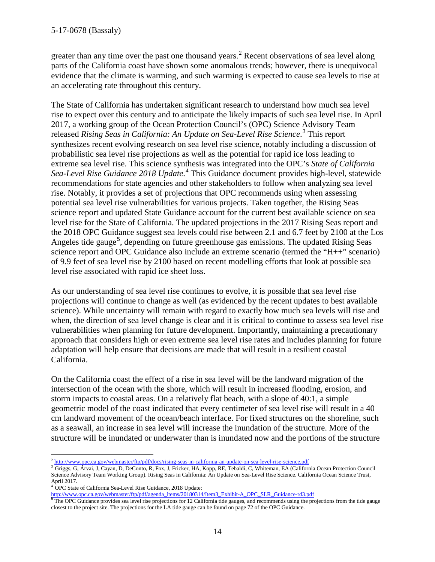greater than any time over the past one thousand years.<sup>[2](#page-13-0)</sup> Recent observations of sea level along parts of the California coast have shown some anomalous trends; however, there is unequivocal evidence that the climate is warming, and such warming is expected to cause sea levels to rise at an accelerating rate throughout this century.

The State of California has undertaken significant research to understand how much sea level rise to expect over this century and to anticipate the likely impacts of such sea level rise. In April 2017, a working group of the Ocean Protection Council's (OPC) Science Advisory Team released *Rising Seas in California: An Update on Sea-Level Rise Science*. [3](#page-13-1) This report synthesizes recent evolving research on sea level rise science, notably including a discussion of probabilistic sea level rise projections as well as the potential for rapid ice loss leading to extreme sea level rise. This science synthesis was integrated into the OPC's *State of California*  Sea-Level Rise Guidance 2018 Update.<sup>[4](#page-13-2)</sup> This Guidance document provides high-level, statewide recommendations for state agencies and other stakeholders to follow when analyzing sea level rise. Notably, it provides a set of projections that OPC recommends using when assessing potential sea level rise vulnerabilities for various projects. Taken together, the Rising Seas science report and updated State Guidance account for the current best available science on sea level rise for the State of California. The updated projections in the 2017 Rising Seas report and the 2018 OPC Guidance suggest sea levels could rise between 2.1 and 6.7 feet by 2100 at the Los Angeles tide gauge<sup>[5](#page-13-3)</sup>, depending on future greenhouse gas emissions. The updated Rising Seas science report and OPC Guidance also include an extreme scenario (termed the "H++" scenario) of 9.9 feet of sea level rise by 2100 based on recent modelling efforts that look at possible sea level rise associated with rapid ice sheet loss.

As our understanding of sea level rise continues to evolve, it is possible that sea level rise projections will continue to change as well (as evidenced by the recent updates to best available science). While uncertainty will remain with regard to exactly how much sea levels will rise and when, the direction of sea level change is clear and it is critical to continue to assess sea level rise vulnerabilities when planning for future development. Importantly, maintaining a precautionary approach that considers high or even extreme sea level rise rates and includes planning for future adaptation will help ensure that decisions are made that will result in a resilient coastal California.

On the California coast the effect of a rise in sea level will be the landward migration of the intersection of the ocean with the shore, which will result in increased flooding, erosion, and storm impacts to coastal areas. On a relatively flat beach, with a slope of 40:1, a simple geometric model of the coast indicated that every centimeter of sea level rise will result in a 40 cm landward movement of the ocean/beach interface. For fixed structures on the shoreline, such as a seawall, an increase in sea level will increase the inundation of the structure. More of the structure will be inundated or underwater than is inundated now and the portions of the structure

 $\overline{a}$ <sup>2</sup> <http://www.opc.ca.gov/webmaster/ftp/pdf/docs/rising-seas-in-california-an-update-on-sea-level-rise-science.pdf>

<span id="page-13-1"></span><span id="page-13-0"></span><sup>&</sup>lt;sup>3</sup> Griggs, G, Árvai, J, Cayan, D, DeConto, R, Fox, J, Fricker, HA, Kopp, RE, Tebaldi, C, Whiteman, EA (California Ocean Protection Council Science Advisory Team Working Group). Rising Seas in California: An Update on Sea-Level Rise Science. California Ocean Science Trust, April 2017.

<sup>&</sup>lt;sup>4</sup> OPC State of California Sea-Level Rise Guidance, 2018 Update:

<span id="page-13-3"></span><span id="page-13-2"></span>http://www.opc.ca.gov/webmaster/ftp/pdf/agenda\_items/20180314/Item3\_Exhibit-A\_OPC\_SLR\_Guidance-rd3.pdf<br><sup>5</sup>The OPC Guidance provides sea level rise projections for 12 California tide gauges, and recommends using the project closest to the project site. The projections for the LA tide gauge can be found on page 72 of the OPC Guidance.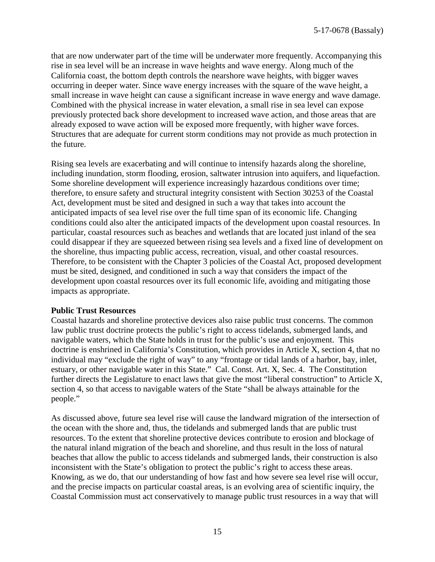that are now underwater part of the time will be underwater more frequently. Accompanying this rise in sea level will be an increase in wave heights and wave energy. Along much of the California coast, the bottom depth controls the nearshore wave heights, with bigger waves occurring in deeper water. Since wave energy increases with the square of the wave height, a small increase in wave height can cause a significant increase in wave energy and wave damage. Combined with the physical increase in water elevation, a small rise in sea level can expose previously protected back shore development to increased wave action, and those areas that are already exposed to wave action will be exposed more frequently, with higher wave forces. Structures that are adequate for current storm conditions may not provide as much protection in the future.

Rising sea levels are exacerbating and will continue to intensify hazards along the shoreline, including inundation, storm flooding, erosion, saltwater intrusion into aquifers, and liquefaction. Some shoreline development will experience increasingly hazardous conditions over time; therefore, to ensure safety and structural integrity consistent with Section 30253 of the Coastal Act, development must be sited and designed in such a way that takes into account the anticipated impacts of sea level rise over the full time span of its economic life. Changing conditions could also alter the anticipated impacts of the development upon coastal resources. In particular, coastal resources such as beaches and wetlands that are located just inland of the sea could disappear if they are squeezed between rising sea levels and a fixed line of development on the shoreline, thus impacting public access, recreation, visual, and other coastal resources. Therefore, to be consistent with the Chapter 3 policies of the Coastal Act, proposed development must be sited, designed, and conditioned in such a way that considers the impact of the development upon coastal resources over its full economic life, avoiding and mitigating those impacts as appropriate.

#### **Public Trust Resources**

Coastal hazards and shoreline protective devices also raise public trust concerns. The common law public trust doctrine protects the public's right to access tidelands, submerged lands, and navigable waters, which the State holds in trust for the public's use and enjoyment. This doctrine is enshrined in California's Constitution, which provides in Article X, section 4, that no individual may "exclude the right of way" to any "frontage or tidal lands of a harbor, bay, inlet, estuary, or other navigable water in this State." Cal. Const. Art. X, Sec. 4. The Constitution further directs the Legislature to enact laws that give the most "liberal construction" to Article X, section 4, so that access to navigable waters of the State "shall be always attainable for the people."

As discussed above, future sea level rise will cause the landward migration of the intersection of the ocean with the shore and, thus, the tidelands and submerged lands that are public trust resources. To the extent that shoreline protective devices contribute to erosion and blockage of the natural inland migration of the beach and shoreline, and thus result in the loss of natural beaches that allow the public to access tidelands and submerged lands, their construction is also inconsistent with the State's obligation to protect the public's right to access these areas. Knowing, as we do, that our understanding of how fast and how severe sea level rise will occur, and the precise impacts on particular coastal areas, is an evolving area of scientific inquiry, the Coastal Commission must act conservatively to manage public trust resources in a way that will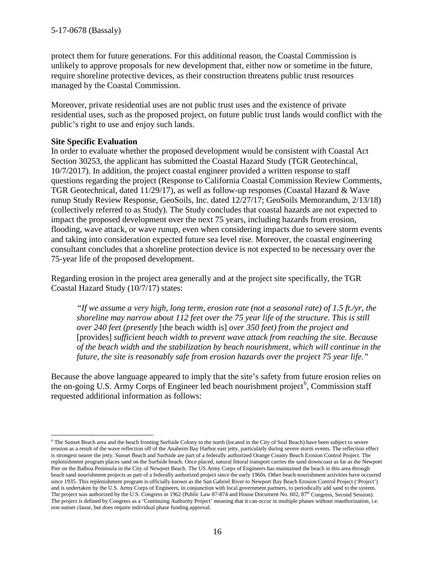protect them for future generations. For this additional reason, the Coastal Commission is unlikely to approve proposals for new development that, either now or sometime in the future, require shoreline protective devices, as their construction threatens public trust resources managed by the Coastal Commission.

Moreover, private residential uses are not public trust uses and the existence of private residential uses, such as the proposed project, on future public trust lands would conflict with the public's right to use and enjoy such lands.

# **Site Specific Evaluation**

 $\overline{a}$ 

In order to evaluate whether the proposed development would be consistent with Coastal Act Section 30253, the applicant has submitted the Coastal Hazard Study (TGR Geotechincal, 10/7/2017). In addition, the project coastal engineer provided a written response to staff questions regarding the project (Response to California Coastal Commission Review Comments, TGR Geotechnical, dated 11/29/17), as well as follow-up responses (Coastal Hazard & Wave runup Study Review Response, GeoSoils, Inc. dated 12/27/17; GeoSoils Memorandum, 2/13/18) (collectively referred to as Study). The Study concludes that coastal hazards are not expected to impact the proposed development over the next 75 years, including hazards from erosion, flooding, wave attack, or wave runup, even when considering impacts due to severe storm events and taking into consideration expected future sea level rise. Moreover, the coastal engineering consultant concludes that a shoreline protection device is not expected to be necessary over the 75-year life of the proposed development.

Regarding erosion in the project area generally and at the project site specifically, the TGR Coastal Hazard Study (10/7/17) states:

*"If we assume a very high, long term, erosion rate (not a seasonal rate) of 1.5 ft./yr, the shoreline may narrow about 112 feet over the 75 year life of the structure. This is still over 240 feet (presently* [the beach width is] *over 350 feet) from the project and*  [provides] *sufficient beach width to prevent wave attack from reaching the site. Because of the beach width and the stabilization by beach nourishment, which will continue in the future, the site is reasonably safe from erosion hazards over the project 75 year life."* 

Because the above language appeared to imply that the site's safety from future erosion relies on the on-going U.S. Army Corps of Engineer led beach nourishment project<sup>[6](#page-15-0)</sup>, Commission staff requested additional information as follows:

<span id="page-15-0"></span><sup>&</sup>lt;sup>6</sup> The Sunset Beach area and the beach fronting Surfside Colony to the north (located in the City of Seal Beach) have been subject to severe erosion as a result of the wave reflection off of the Anaheim Bay Harbor east jetty, particularly during severe storm events. The reflection effect is strongest nearer the jetty. Sunset Beach and Surfside are part of a federally authorized Orange County Beach Erosion Control Project. The replenishment program places sand on the Surfside beach. Once placed, natural littoral transport carries the sand downcoast as far as the Newport Pier on the Balboa Peninsula in the City of Newport Beach. The US Army Corps of Engineers has maintained the beach in this area through beach sand nourishment projects as part of a federally authorized project since the early 1960s. Other beach nourishment activities have occurred since 1935. This replenishment program is officially known as the San Gabriel River to Newport Bay Beach Erosion Control Project ('Project') and is undertaken by the U.S. Army Corps of Engineers, in conjunction with local government partners, to periodically add sand to the system. The project was authorized by the U.S. Congress in 1962 (Public Law 87-874 and House Document No. 602,  $87<sup>th</sup>$  Congress, Second Session). The project is defined by Congress as a 'Continuing Authority Project' meaning that it can occur in multiple phases without reauthorization, i.e. non sunset clause, but does require individual phase funding approval.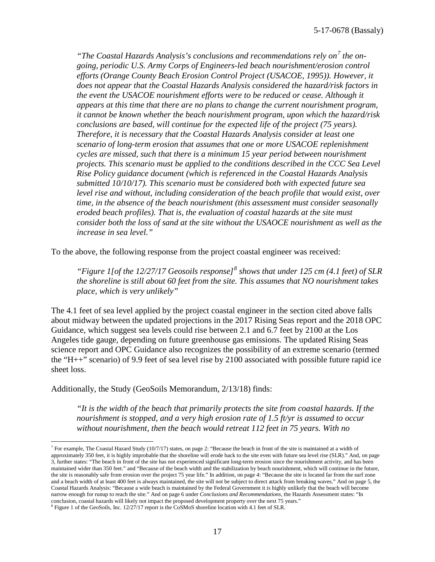*"The Coastal Hazards Analysis's conclusions and recommendations rely on[7](#page-16-0) the ongoing, periodic U.S. Army Corps of Engineers-led beach nourishment/erosion control efforts (Orange County Beach Erosion Control Project (USACOE, 1995)). However, it does not appear that the Coastal Hazards Analysis considered the hazard/risk factors in the event the USACOE nourishment efforts were to be reduced or cease. Although it appears at this time that there are no plans to change the current nourishment program, it cannot be known whether the beach nourishment program, upon which the hazard/risk conclusions are based, will continue for the expected life of the project (75 years). Therefore, it is necessary that the Coastal Hazards Analysis consider at least one scenario of long-term erosion that assumes that one or more USACOE replenishment cycles are missed, such that there is a minimum 15 year period between nourishment projects. This scenario must be applied to the conditions described in the CCC Sea Level Rise Policy guidance document (which is referenced in the Coastal Hazards Analysis submitted 10/10/17). This scenario must be considered both with expected future sea level rise and without, including consideration of the beach profile that would exist, over time, in the absence of the beach nourishment (this assessment must consider seasonally eroded beach profiles). That is, the evaluation of coastal hazards at the site must consider both the loss of sand at the site without the USAOCE nourishment as well as the increase in sea level."* 

To the above, the following response from the project coastal engineer was received:

*"Figure 1[of the 12/27/17 Geosoils response][8](#page-16-1) shows that under 125 cm (4.1 feet) of SLR the shoreline is still about 60 feet from the site. This assumes that NO nourishment takes place, which is very unlikely"*

The 4.1 feet of sea level applied by the project coastal engineer in the section cited above falls about midway between the updated projections in the 2017 Rising Seas report and the 2018 OPC Guidance, which suggest sea levels could rise between 2.1 and 6.7 feet by 2100 at the Los Angeles tide gauge, depending on future greenhouse gas emissions. The updated Rising Seas science report and OPC Guidance also recognizes the possibility of an extreme scenario (termed the "H++" scenario) of 9.9 feet of sea level rise by 2100 associated with possible future rapid ice sheet loss.

Additionally, the Study (GeoSoils Memorandum, 2/13/18) finds:

 $\overline{a}$ 

*"It is the width of the beach that primarily protects the site from coastal hazards. If the nourishment is stopped, and a very high erosion rate of 1.5 ft/yr is assumed to occur without nourishment, then the beach would retreat 112 feet in 75 years. With no* 

<span id="page-16-0"></span><sup>&</sup>lt;sup>7</sup> For example, The Coastal Hazard Study (10/7/17) states, on page 2: "Because the beach in front of the site is maintained at a width of approximately 350 feet, it is highly improbable that the shoreline will erode back to the site even with future sea level rise (SLR)." And, on page 3, further states: "The beach in front of the site has not experienced significant long-term erosion since the nourishment activity, and has been maintained wider than 350 feet." and "Because of the beach width and the stabilization by beach nourishment, which will continue in the future, the site is reasonably safe from erosion over the project 75 year life." In addition, on page 4: "Because the site is located far from the surf zone and a beach width of at least 400 feet is always maintained, the site will not be subject to direct attack from breaking waves." And on page 5, the Coastal Hazards Analysis: "Because a wide beach is maintained by the Federal Government it is highly unlikely that the beach will become narrow enough for runup to reach the site." And on page 6 under *Conclusions and Recommendations*, the Hazards Assessment states: "In conclusion, coastal hazards will likely not impact the proposed development property over the next 75 years."

<span id="page-16-1"></span><sup>8</sup> Figure 1 of the GeoSoils, Inc. 12/27/17 report is the CoSMoS shoreline location with 4.1 feet of SLR.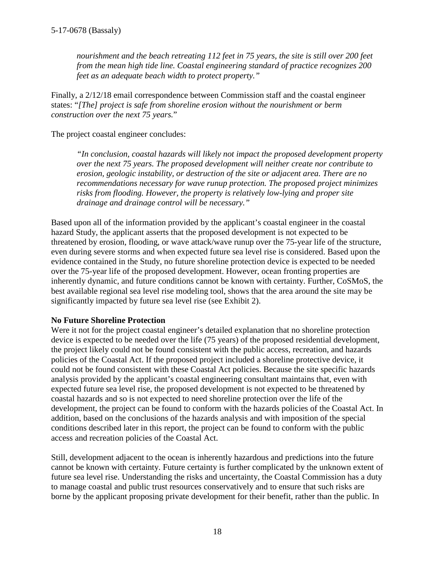*nourishment and the beach retreating 112 feet in 75 years, the site is still over 200 feet from the mean high tide line. Coastal engineering standard of practice recognizes 200 feet as an adequate beach width to protect property."* 

Finally, a 2/12/18 email correspondence between Commission staff and the coastal engineer states: "*[The] project is safe from shoreline erosion without the nourishment or berm construction over the next 75 years.*"

The project coastal engineer concludes:

*"In conclusion, coastal hazards will likely not impact the proposed development property over the next 75 years. The proposed development will neither create nor contribute to erosion, geologic instability, or destruction of the site or adjacent area. There are no recommendations necessary for wave runup protection. The proposed project minimizes risks from flooding. However, the property is relatively low-lying and proper site drainage and drainage control will be necessary."*

Based upon all of the information provided by the applicant's coastal engineer in the coastal hazard Study, the applicant asserts that the proposed development is not expected to be threatened by erosion, flooding, or wave attack/wave runup over the 75-year life of the structure, even during severe storms and when expected future sea level rise is considered. Based upon the evidence contained in the Study, no future shoreline protection device is expected to be needed over the 75-year life of the proposed development. However, ocean fronting properties are inherently dynamic, and future conditions cannot be known with certainty. Further, CoSMoS, the best available regional sea level rise modeling tool, shows that the area around the site may be significantly impacted by future sea level rise (see Exhibit 2).

# **No Future Shoreline Protection**

Were it not for the project coastal engineer's detailed explanation that no shoreline protection device is expected to be needed over the life (75 years) of the proposed residential development, the project likely could not be found consistent with the public access, recreation, and hazards policies of the Coastal Act. If the proposed project included a shoreline protective device, it could not be found consistent with these Coastal Act policies. Because the site specific hazards analysis provided by the applicant's coastal engineering consultant maintains that, even with expected future sea level rise, the proposed development is not expected to be threatened by coastal hazards and so is not expected to need shoreline protection over the life of the development, the project can be found to conform with the hazards policies of the Coastal Act. In addition, based on the conclusions of the hazards analysis and with imposition of the special conditions described later in this report, the project can be found to conform with the public access and recreation policies of the Coastal Act.

Still, development adjacent to the ocean is inherently hazardous and predictions into the future cannot be known with certainty. Future certainty is further complicated by the unknown extent of future sea level rise. Understanding the risks and uncertainty, the Coastal Commission has a duty to manage coastal and public trust resources conservatively and to ensure that such risks are borne by the applicant proposing private development for their benefit, rather than the public. In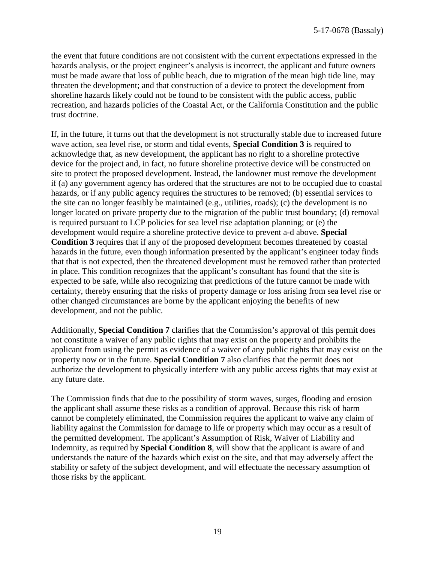the event that future conditions are not consistent with the current expectations expressed in the hazards analysis, or the project engineer's analysis is incorrect, the applicant and future owners must be made aware that loss of public beach, due to migration of the mean high tide line, may threaten the development; and that construction of a device to protect the development from shoreline hazards likely could not be found to be consistent with the public access, public recreation, and hazards policies of the Coastal Act, or the California Constitution and the public trust doctrine.

If, in the future, it turns out that the development is not structurally stable due to increased future wave action, sea level rise, or storm and tidal events, **Special Condition 3** is required to acknowledge that, as new development, the applicant has no right to a shoreline protective device for the project and, in fact, no future shoreline protective device will be constructed on site to protect the proposed development. Instead, the landowner must remove the development if (a) any government agency has ordered that the structures are not to be occupied due to coastal hazards, or if any public agency requires the structures to be removed; (b) essential services to the site can no longer feasibly be maintained (e.g., utilities, roads); (c) the development is no longer located on private property due to the migration of the public trust boundary; (d) removal is required pursuant to LCP policies for sea level rise adaptation planning; or (e) the development would require a shoreline protective device to prevent a-d above. **Special Condition 3** requires that if any of the proposed development becomes threatened by coastal hazards in the future, even though information presented by the applicant's engineer today finds that that is not expected, then the threatened development must be removed rather than protected in place. This condition recognizes that the applicant's consultant has found that the site is expected to be safe, while also recognizing that predictions of the future cannot be made with certainty, thereby ensuring that the risks of property damage or loss arising from sea level rise or other changed circumstances are borne by the applicant enjoying the benefits of new development, and not the public.

Additionally, **Special Condition 7** clarifies that the Commission's approval of this permit does not constitute a waiver of any public rights that may exist on the property and prohibits the applicant from using the permit as evidence of a waiver of any public rights that may exist on the property now or in the future. **Special Condition 7** also clarifies that the permit does not authorize the development to physically interfere with any public access rights that may exist at any future date.

The Commission finds that due to the possibility of storm waves, surges, flooding and erosion the applicant shall assume these risks as a condition of approval. Because this risk of harm cannot be completely eliminated, the Commission requires the applicant to waive any claim of liability against the Commission for damage to life or property which may occur as a result of the permitted development. The applicant's Assumption of Risk, Waiver of Liability and Indemnity, as required by **Special Condition 8**, will show that the applicant is aware of and understands the nature of the hazards which exist on the site, and that may adversely affect the stability or safety of the subject development, and will effectuate the necessary assumption of those risks by the applicant.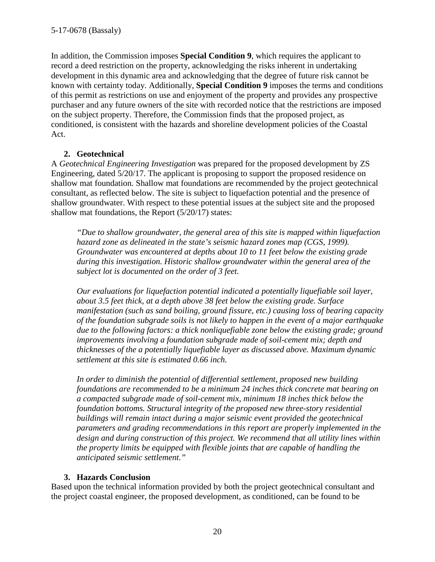In addition, the Commission imposes **Special Condition 9**, which requires the applicant to record a deed restriction on the property, acknowledging the risks inherent in undertaking development in this dynamic area and acknowledging that the degree of future risk cannot be known with certainty today. Additionally, **Special Condition 9** imposes the terms and conditions of this permit as restrictions on use and enjoyment of the property and provides any prospective purchaser and any future owners of the site with recorded notice that the restrictions are imposed on the subject property. Therefore, the Commission finds that the proposed project, as conditioned, is consistent with the hazards and shoreline development policies of the Coastal Act.

# **2. Geotechnical**

A *Geotechnical Engineering Investigation* was prepared for the proposed development by ZS Engineering, dated 5/20/17. The applicant is proposing to support the proposed residence on shallow mat foundation. Shallow mat foundations are recommended by the project geotechnical consultant, as reflected below. The site is subject to liquefaction potential and the presence of shallow groundwater. With respect to these potential issues at the subject site and the proposed shallow mat foundations, the Report (5/20/17) states:

*"Due to shallow groundwater, the general area of this site is mapped within liquefaction hazard zone as delineated in the state's seismic hazard zones map (CGS, 1999). Groundwater was encountered at depths about 10 to 11 feet below the existing grade during this investigation. Historic shallow groundwater within the general area of the subject lot is documented on the order of 3 feet.* 

*Our evaluations for liquefaction potential indicated a potentially liquefiable soil layer, about 3.5 feet thick, at a depth above 38 feet below the existing grade. Surface manifestation (such as sand boiling, ground fissure, etc.) causing loss of bearing capacity of the foundation subgrade soils is not likely to happen in the event of a major earthquake*  due to the following factors: a thick nonliquefiable zone below the existing grade; ground *improvements involving a foundation subgrade made of soil-cement mix; depth and thicknesses of the a potentially liquefiable layer as discussed above. Maximum dynamic settlement at this site is estimated 0.66 inch.*

*In order to diminish the potential of differential settlement, proposed new building foundations are recommended to be a minimum 24 inches thick concrete mat bearing on a compacted subgrade made of soil-cement mix, minimum 18 inches thick below the foundation bottoms. Structural integrity of the proposed new three-story residential buildings will remain intact during a major seismic event provided the geotechnical parameters and grading recommendations in this report are properly implemented in the design and during construction of this project. We recommend that all utility lines within the property limits be equipped with flexible joints that are capable of handling the anticipated seismic settlement."*

# **3. Hazards Conclusion**

Based upon the technical information provided by both the project geotechnical consultant and the project coastal engineer, the proposed development, as conditioned, can be found to be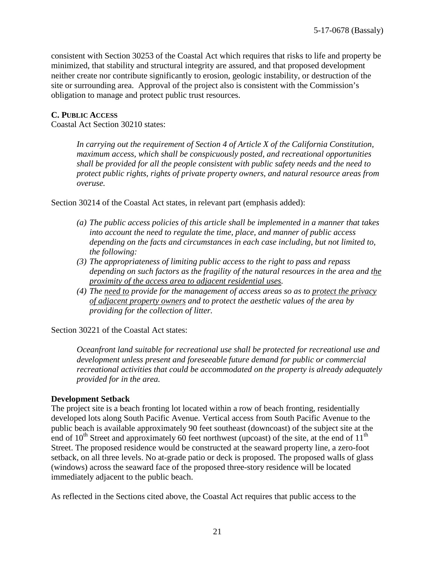consistent with Section 30253 of the Coastal Act which requires that risks to life and property be minimized, that stability and structural integrity are assured, and that proposed development neither create nor contribute significantly to erosion, geologic instability, or destruction of the site or surrounding area. Approval of the project also is consistent with the Commission's obligation to manage and protect public trust resources.

#### **C. PUBLIC ACCESS**

Coastal Act Section 30210 states:

*In carrying out the requirement of Section 4 of Article X of the California Constitution, maximum access, which shall be conspicuously posted, and recreational opportunities shall be provided for all the people consistent with public safety needs and the need to protect public rights, rights of private property owners, and natural resource areas from overuse.*

Section 30214 of the Coastal Act states, in relevant part (emphasis added):

- *(a) The public access policies of this article shall be implemented in a manner that takes into account the need to regulate the time, place, and manner of public access depending on the facts and circumstances in each case including, but not limited to, the following:*
- *(3) The appropriateness of limiting public access to the right to pass and repass depending on such factors as the fragility of the natural resources in the area and the proximity of the access area to adjacent residential uses.*
- *(4) The need to provide for the management of access areas so as to protect the privacy of adjacent property owners and to protect the aesthetic values of the area by providing for the collection of litter.*

Section 30221 of the Coastal Act states:

*Oceanfront land suitable for recreational use shall be protected for recreational use and development unless present and foreseeable future demand for public or commercial recreational activities that could be accommodated on the property is already adequately provided for in the area.* 

#### **Development Setback**

The project site is a beach fronting lot located within a row of beach fronting, residentially developed lots along South Pacific Avenue. Vertical access from South Pacific Avenue to the public beach is available approximately 90 feet southeast (downcoast) of the subject site at the end of  $10^{th}$  Street and approximately 60 feet northwest (upcoast) of the site, at the end of  $11^{th}$ Street. The proposed residence would be constructed at the seaward property line, a zero-foot setback, on all three levels. No at-grade patio or deck is proposed. The proposed walls of glass (windows) across the seaward face of the proposed three-story residence will be located immediately adjacent to the public beach.

As reflected in the Sections cited above, the Coastal Act requires that public access to the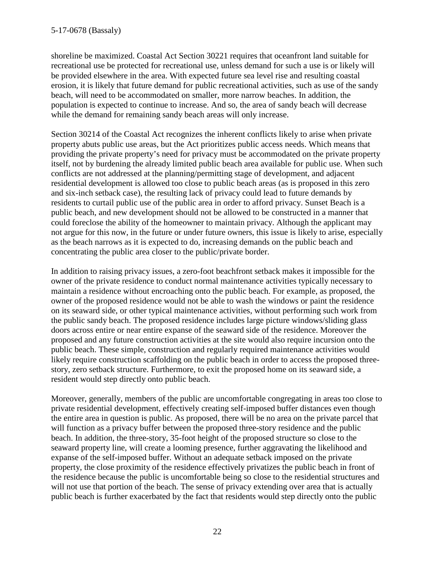shoreline be maximized. Coastal Act Section 30221 requires that oceanfront land suitable for recreational use be protected for recreational use, unless demand for such a use is or likely will be provided elsewhere in the area. With expected future sea level rise and resulting coastal erosion, it is likely that future demand for public recreational activities, such as use of the sandy beach, will need to be accommodated on smaller, more narrow beaches. In addition, the population is expected to continue to increase. And so, the area of sandy beach will decrease while the demand for remaining sandy beach areas will only increase.

Section 30214 of the Coastal Act recognizes the inherent conflicts likely to arise when private property abuts public use areas, but the Act prioritizes public access needs. Which means that providing the private property's need for privacy must be accommodated on the private property itself, not by burdening the already limited public beach area available for public use. When such conflicts are not addressed at the planning/permitting stage of development, and adjacent residential development is allowed too close to public beach areas (as is proposed in this zero and six-inch setback case), the resulting lack of privacy could lead to future demands by residents to curtail public use of the public area in order to afford privacy. Sunset Beach is a public beach, and new development should not be allowed to be constructed in a manner that could foreclose the ability of the homeowner to maintain privacy. Although the applicant may not argue for this now, in the future or under future owners, this issue is likely to arise, especially as the beach narrows as it is expected to do, increasing demands on the public beach and concentrating the public area closer to the public/private border.

In addition to raising privacy issues, a zero-foot beachfront setback makes it impossible for the owner of the private residence to conduct normal maintenance activities typically necessary to maintain a residence without encroaching onto the public beach. For example, as proposed, the owner of the proposed residence would not be able to wash the windows or paint the residence on its seaward side, or other typical maintenance activities, without performing such work from the public sandy beach. The proposed residence includes large picture windows/sliding glass doors across entire or near entire expanse of the seaward side of the residence. Moreover the proposed and any future construction activities at the site would also require incursion onto the public beach. These simple, construction and regularly required maintenance activities would likely require construction scaffolding on the public beach in order to access the proposed threestory, zero setback structure. Furthermore, to exit the proposed home on its seaward side, a resident would step directly onto public beach.

Moreover, generally, members of the public are uncomfortable congregating in areas too close to private residential development, effectively creating self-imposed buffer distances even though the entire area in question is public. As proposed, there will be no area on the private parcel that will function as a privacy buffer between the proposed three-story residence and the public beach. In addition, the three-story, 35-foot height of the proposed structure so close to the seaward property line, will create a looming presence, further aggravating the likelihood and expanse of the self-imposed buffer. Without an adequate setback imposed on the private property, the close proximity of the residence effectively privatizes the public beach in front of the residence because the public is uncomfortable being so close to the residential structures and will not use that portion of the beach. The sense of privacy extending over area that is actually public beach is further exacerbated by the fact that residents would step directly onto the public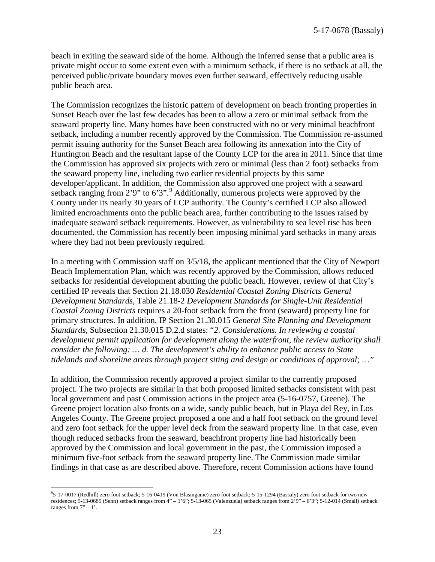beach in exiting the seaward side of the home. Although the inferred sense that a public area is private might occur to some extent even with a minimum setback, if there is no setback at all, the perceived public/private boundary moves even further seaward, effectively reducing usable public beach area.

The Commission recognizes the historic pattern of development on beach fronting properties in Sunset Beach over the last few decades has been to allow a zero or minimal setback from the seaward property line. Many homes have been constructed with no or very minimal beachfront setback, including a number recently approved by the Commission. The Commission re-assumed permit issuing authority for the Sunset Beach area following its annexation into the City of Huntington Beach and the resultant lapse of the County LCP for the area in 2011. Since that time the Commission has approved six projects with zero or minimal (less than 2 foot) setbacks from the seaward property line, including two earlier residential projects by this same developer/applicant. In addition, the Commission also approved one project with a seaward setback ranging from  $2'9''$  $2'9''$  $2'9''$  to  $6'3''$ . Additionally, numerous projects were approved by the County under its nearly 30 years of LCP authority. The County's certified LCP also allowed limited encroachments onto the public beach area, further contributing to the issues raised by inadequate seaward setback requirements. However, as vulnerability to sea level rise has been documented, the Commission has recently been imposing minimal yard setbacks in many areas where they had not been previously required.

In a meeting with Commission staff on 3/5/18, the applicant mentioned that the City of Newport Beach Implementation Plan, which was recently approved by the Commission, allows reduced setbacks for residential development abutting the public beach. However, review of that City's certified IP reveals that Section 21.18.030 *Residential Coastal Zoning Districts General Development Standards*, Table 21.18-2 *Development Standards for Single-Unit Residential Coastal Zoning Districts* requires a 20-foot setback from the front (seaward) property line for primary structures. In addition, IP Section 21.30.015 *General Site Planning and Development Standards*, Subsection 21.30.015 D.2.d states: "*2. Considerations. In reviewing a coastal development permit application for development along the waterfront, the review authority shall consider the following: … d. The development's ability to enhance public access to State tidelands and shoreline areas through project siting and design or conditions of approval*; …"

In addition, the Commission recently approved a project similar to the currently proposed project. The two projects are similar in that both proposed limited setbacks consistent with past local government and past Commission actions in the project area (5-16-0757, Greene). The Greene project location also fronts on a wide, sandy public beach, but in Playa del Rey, in Los Angeles County. The Greene project proposed a one and a half foot setback on the ground level and zero foot setback for the upper level deck from the seaward property line. In that case, even though reduced setbacks from the seaward, beachfront property line had historically been approved by the Commission and local government in the past, the Commission imposed a minimum five-foot setback from the seaward property line. The Commission made similar findings in that case as are described above. Therefore, recent Commission actions have found

<span id="page-22-0"></span> $\overline{a}$ 9 5-17-0017 (Redhill) zero foot setback; 5-16-0419 (Von Blasingame) zero foot setback; 5-15-1294 (Bassaly) zero foot setback for two new residences; 5-13-0685 (Senn) setback ranges from 4" – 1'6"; 5-13-065 (Valenzuela) setback ranges from 2'9" – 6'3"; 5-12-014 (Small) setback ranges from  $7" - 1$ '.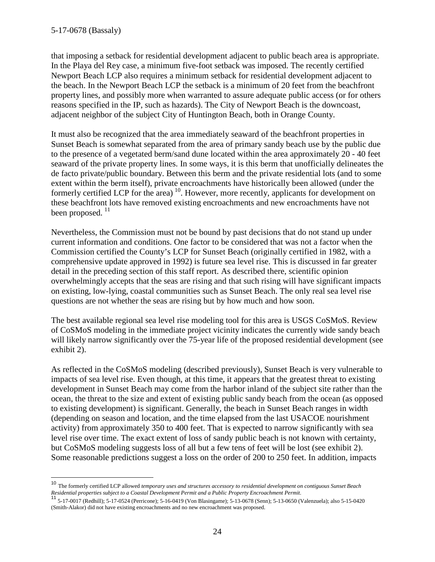that imposing a setback for residential development adjacent to public beach area is appropriate. In the Playa del Rey case, a minimum five-foot setback was imposed. The recently certified Newport Beach LCP also requires a minimum setback for residential development adjacent to the beach. In the Newport Beach LCP the setback is a minimum of 20 feet from the beachfront property lines, and possibly more when warranted to assure adequate public access (or for others reasons specified in the IP, such as hazards). The City of Newport Beach is the downcoast, adjacent neighbor of the subject City of Huntington Beach, both in Orange County.

It must also be recognized that the area immediately seaward of the beachfront properties in Sunset Beach is somewhat separated from the area of primary sandy beach use by the public due to the presence of a vegetated berm/sand dune located within the area approximately 20 - 40 feet seaward of the private property lines. In some ways, it is this berm that unofficially delineates the de facto private/public boundary. Between this berm and the private residential lots (and to some extent within the berm itself), private encroachments have historically been allowed (under the formerly certified LCP for the area)<sup>[10](#page-23-0)</sup>. However, more recently, applicants for development on these beachfront lots have removed existing encroachments and new encroachments have not been proposed.  $^{11}$  $^{11}$  $^{11}$ 

Nevertheless, the Commission must not be bound by past decisions that do not stand up under current information and conditions. One factor to be considered that was not a factor when the Commission certified the County's LCP for Sunset Beach (originally certified in 1982, with a comprehensive update approved in 1992) is future sea level rise. This is discussed in far greater detail in the preceding section of this staff report. As described there, scientific opinion overwhelmingly accepts that the seas are rising and that such rising will have significant impacts on existing, low-lying, coastal communities such as Sunset Beach. The only real sea level rise questions are not whether the seas are rising but by how much and how soon.

The best available regional sea level rise modeling tool for this area is USGS CoSMoS. Review of CoSMoS modeling in the immediate project vicinity indicates the currently wide sandy beach will likely narrow significantly over the 75-year life of the proposed residential development (see exhibit 2).

As reflected in the CoSMoS modeling (described previously), Sunset Beach is very vulnerable to impacts of sea level rise. Even though, at this time, it appears that the greatest threat to existing development in Sunset Beach may come from the harbor inland of the subject site rather than the ocean, the threat to the size and extent of existing public sandy beach from the ocean (as opposed to existing development) is significant. Generally, the beach in Sunset Beach ranges in width (depending on season and location, and the time elapsed from the last USACOE nourishment activity) from approximately 350 to 400 feet. That is expected to narrow significantly with sea level rise over time. The exact extent of loss of sandy public beach is not known with certainty, but CoSMoS modeling suggests loss of all but a few tens of feet will be lost (see exhibit 2). Some reasonable predictions suggest a loss on the order of 200 to 250 feet. In addition, impacts

<span id="page-23-0"></span><sup>10</sup> The formerly certified LCP allowed *temporary uses and structures accessory to residential development on contiguous Sunset Beach* 

<span id="page-23-1"></span>Residential properties subject to a Coastal Development Permit and a Public Property Encroachment Permit.<br><sup>11</sup> 5-17-0017 (Redhill); 5-17-0524 (Perricone); 5-16-0419 (Von Blasingame); 5-13-0678 (Senn); 5-13-0650 (Valenzuela (Smith-Alakor) did not have existing encroachments and no new encroachment was proposed.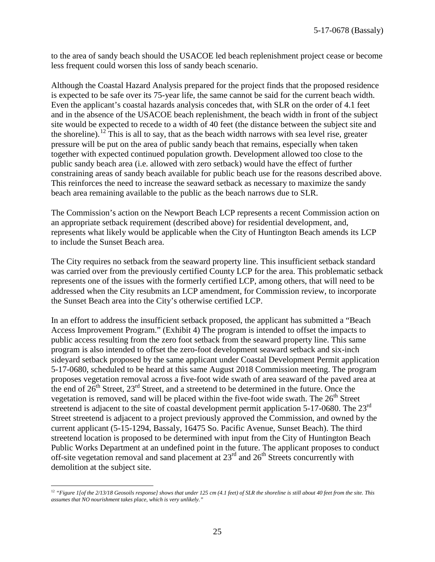to the area of sandy beach should the USACOE led beach replenishment project cease or become less frequent could worsen this loss of sandy beach scenario.

Although the Coastal Hazard Analysis prepared for the project finds that the proposed residence is expected to be safe over its 75-year life, the same cannot be said for the current beach width. Even the applicant's coastal hazards analysis concedes that, with SLR on the order of 4.1 feet and in the absence of the USACOE beach replenishment, the beach width in front of the subject site would be expected to recede to a width of 40 feet (the distance between the subject site and the shoreline).<sup>[12](#page-24-0)</sup> This is all to say, that as the beach width narrows with sea level rise, greater pressure will be put on the area of public sandy beach that remains, especially when taken together with expected continued population growth. Development allowed too close to the public sandy beach area (i.e. allowed with zero setback) would have the effect of further constraining areas of sandy beach available for public beach use for the reasons described above. This reinforces the need to increase the seaward setback as necessary to maximize the sandy beach area remaining available to the public as the beach narrows due to SLR.

The Commission's action on the Newport Beach LCP represents a recent Commission action on an appropriate setback requirement (described above) for residential development, and, represents what likely would be applicable when the City of Huntington Beach amends its LCP to include the Sunset Beach area.

The City requires no setback from the seaward property line. This insufficient setback standard was carried over from the previously certified County LCP for the area. This problematic setback represents one of the issues with the formerly certified LCP, among others, that will need to be addressed when the City resubmits an LCP amendment, for Commission review, to incorporate the Sunset Beach area into the City's otherwise certified LCP.

In an effort to address the insufficient setback proposed, the applicant has submitted a "Beach Access Improvement Program." (Exhibit 4) The program is intended to offset the impacts to public access resulting from the zero foot setback from the seaward property line. This same program is also intended to offset the zero-foot development seaward setback and six-inch sideyard setback proposed by the same applicant under Coastal Development Permit application 5-17-0680, scheduled to be heard at this same August 2018 Commission meeting. The program proposes vegetation removal across a five-foot wide swath of area seaward of the paved area at the end of  $26<sup>th</sup>$  Street,  $23<sup>rd</sup>$  Street, and a streetend to be determined in the future. Once the vegetation is removed, sand will be placed within the five-foot wide swath. The  $26<sup>th</sup>$  Street streetend is adjacent to the site of coastal development permit application 5-17-0680. The 23<sup>rd</sup> Street streetend is adjacent to a project previously approved the Commission, and owned by the current applicant (5-15-1294, Bassaly, 16475 So. Pacific Avenue, Sunset Beach). The third streetend location is proposed to be determined with input from the City of Huntington Beach Public Works Department at an undefined point in the future. The applicant proposes to conduct off-site vegetation removal and sand placement at  $23<sup>rd</sup>$  and  $26<sup>th</sup>$  Streets concurrently with demolition at the subject site.

<span id="page-24-0"></span> $\overline{a}$ <sup>12</sup> "Figure 1[of the 2/13/18 Geosoils response] shows that under 125 cm (4.1 feet) of SLR the shoreline is still about 40 feet from the site. This *assumes that NO nourishment takes place, which is very unlikely."*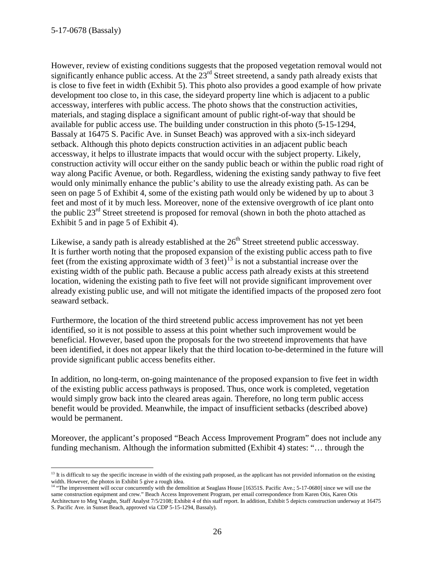However, review of existing conditions suggests that the proposed vegetation removal would not significantly enhance public access. At the 23<sup>rd</sup> Street streetend, a sandy path already exists that is close to five feet in width (Exhibit 5). This photo also provides a good example of how private development too close to, in this case, the sideyard property line which is adjacent to a public accessway, interferes with public access. The photo shows that the construction activities, materials, and staging displace a significant amount of public right-of-way that should be available for public access use. The building under construction in this photo (5-15-1294, Bassaly at 16475 S. Pacific Ave. in Sunset Beach) was approved with a six-inch sideyard setback. Although this photo depicts construction activities in an adjacent public beach accessway, it helps to illustrate impacts that would occur with the subject property. Likely, construction activity will occur either on the sandy public beach or within the public road right of way along Pacific Avenue, or both. Regardless, widening the existing sandy pathway to five feet would only minimally enhance the public's ability to use the already existing path. As can be seen on page 5 of Exhibit 4, some of the existing path would only be widened by up to about 3 feet and most of it by much less. Moreover, none of the extensive overgrowth of ice plant onto the public  $23<sup>rd</sup>$  Street streetend is proposed for removal (shown in both the photo attached as Exhibit 5 and in page 5 of Exhibit 4).

Likewise, a sandy path is already established at the  $26<sup>th</sup>$  Street streetend public accessway. It is further worth noting that the proposed expansion of the existing public access path to five feet (from the existing approximate width of  $\frac{1}{3}$  feet)<sup>13</sup> is not a substantial increase over the existing width of the public path. Because a public access path already exists at this streetend location, widening the existing path to five feet will not provide significant improvement over already existing public use, and will not mitigate the identified impacts of the proposed zero foot seaward setback.

Furthermore, the location of the third streetend public access improvement has not yet been identified, so it is not possible to assess at this point whether such improvement would be beneficial. However, based upon the proposals for the two streetend improvements that have been identified, it does not appear likely that the third location to-be-determined in the future will provide significant public access benefits either.

In addition, no long-term, on-going maintenance of the proposed expansion to five feet in width of the existing public access pathways is proposed. Thus, once work is completed, vegetation would simply grow back into the cleared areas again. Therefore, no long term public access benefit would be provided. Meanwhile, the impact of insufficient setbacks (described above) would be permanent.

Moreover, the applicant's proposed "Beach Access Improvement Program" does not include any funding mechanism. Although the information submitted (Exhibit 4) states: "… through the

 $\overline{a}$  $13$  It is difficult to say the specific increase in width of the existing path proposed, as the applicant has not provided information on the existing width. However, the photos in Exhibit 5 give a rough idea.

<span id="page-25-0"></span><sup>&</sup>lt;sup>14</sup> "The improvement will occur concurrently with the demolition at Seaglass House [16351S. Pacific Ave.; 5-17-0680] since we will use the same construction equipment and crew." Beach Access Improvement Program, per email correspondence from Karen Otis, Karen Otis Architecture to Meg Vaughn, Staff Analyst 7/5/2108; Exhibit 4 of this staff report. In addition, Exhibit 5 depicts construction underway at 16475 S. Pacific Ave. in Sunset Beach, approved via CDP 5-15-1294, Bassaly).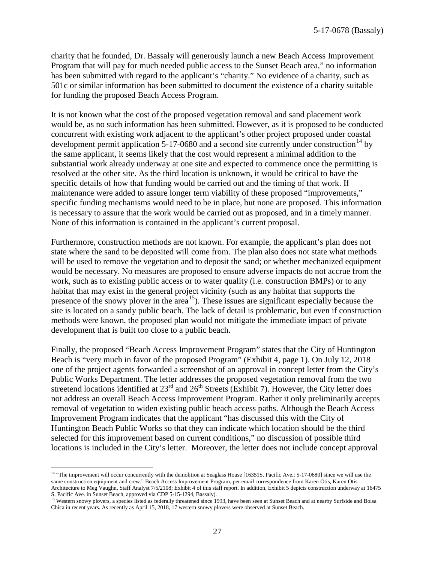charity that he founded, Dr. Bassaly will generously launch a new Beach Access Improvement Program that will pay for much needed public access to the Sunset Beach area," no information has been submitted with regard to the applicant's "charity." No evidence of a charity, such as 501c or similar information has been submitted to document the existence of a charity suitable for funding the proposed Beach Access Program.

It is not known what the cost of the proposed vegetation removal and sand placement work would be, as no such information has been submitted. However, as it is proposed to be conducted concurrent with existing work adjacent to the applicant's other project proposed under coastal development permit application  $5-17-0680$  and a second site currently under construction<sup>[14](#page-26-0)</sup> by the same applicant, it seems likely that the cost would represent a minimal addition to the substantial work already underway at one site and expected to commence once the permitting is resolved at the other site. As the third location is unknown, it would be critical to have the specific details of how that funding would be carried out and the timing of that work. If maintenance were added to assure longer term viability of these proposed "improvements," specific funding mechanisms would need to be in place, but none are proposed. This information is necessary to assure that the work would be carried out as proposed, and in a timely manner. None of this information is contained in the applicant's current proposal.

Furthermore, construction methods are not known. For example, the applicant's plan does not state where the sand to be deposited will come from. The plan also does not state what methods will be used to remove the vegetation and to deposit the sand; or whether mechanized equipment would be necessary. No measures are proposed to ensure adverse impacts do not accrue from the work, such as to existing public access or to water quality (i.e. construction BMPs) or to any habitat that may exist in the general project vicinity (such as any habitat that supports the presence of the snowy plover in the area<sup>[15](#page-26-1)</sup>). These issues are significant especially because the site is located on a sandy public beach. The lack of detail is problematic, but even if construction methods were known, the proposed plan would not mitigate the immediate impact of private development that is built too close to a public beach.

Finally, the proposed "Beach Access Improvement Program" states that the City of Huntington Beach is "very much in favor of the proposed Program" (Exhibit 4, page 1). On July 12, 2018 one of the project agents forwarded a screenshot of an approval in concept letter from the City's Public Works Department. The letter addresses the proposed vegetation removal from the two streetend locations identified at  $23<sup>rd</sup>$  and  $26<sup>th</sup>$  Streets (Exhibit 7). However, the City letter does not address an overall Beach Access Improvement Program. Rather it only preliminarily accepts removal of vegetation to widen existing public beach access paths. Although the Beach Access Improvement Program indicates that the applicant "has discussed this with the City of Huntington Beach Public Works so that they can indicate which location should be the third selected for this improvement based on current conditions," no discussion of possible third locations is included in the City's letter. Moreover, the letter does not include concept approval

 $\overline{a}$ 

<span id="page-26-0"></span><sup>&</sup>lt;sup>14</sup> "The improvement will occur concurrently with the demolition at Seaglass House [16351S. Pacific Ave.; 5-17-0680] since we will use the same construction equipment and crew." Beach Access Improvement Program, per email correspondence from Karen Otis, Karen Otis Architecture to Meg Vaughn, Staff Analyst 7/5/2108; Exhibit 4 of this staff report. In addition, Exhibit 5 depicts construction underway at 16475 S. Pacific Ave. in Sunset Beach, approved via CDP 5-15-1294, Bassaly).

<span id="page-26-1"></span><sup>&</sup>lt;sup>15</sup> Western snowy plovers, a species listed as federally threatened since 1993, have been seen at Sunset Beach and at nearby Surfside and Bolsa Chica in recent years. As recently as April 15, 2018, 17 western snowy plovers were observed at Sunset Beach.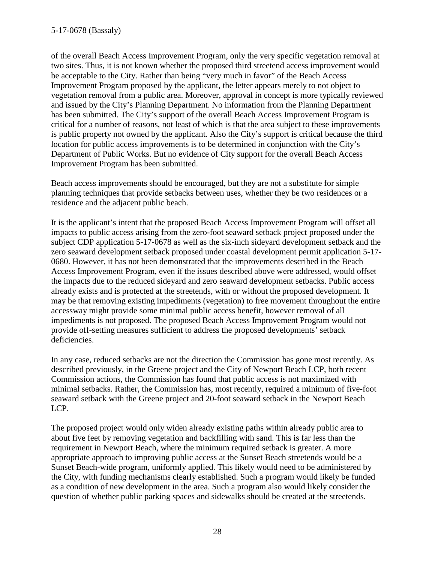of the overall Beach Access Improvement Program, only the very specific vegetation removal at two sites. Thus, it is not known whether the proposed third streetend access improvement would be acceptable to the City. Rather than being "very much in favor" of the Beach Access Improvement Program proposed by the applicant, the letter appears merely to not object to vegetation removal from a public area. Moreover, approval in concept is more typically reviewed and issued by the City's Planning Department. No information from the Planning Department has been submitted. The City's support of the overall Beach Access Improvement Program is critical for a number of reasons, not least of which is that the area subject to these improvements is public property not owned by the applicant. Also the City's support is critical because the third location for public access improvements is to be determined in conjunction with the City's Department of Public Works. But no evidence of City support for the overall Beach Access Improvement Program has been submitted.

Beach access improvements should be encouraged, but they are not a substitute for simple planning techniques that provide setbacks between uses, whether they be two residences or a residence and the adjacent public beach.

It is the applicant's intent that the proposed Beach Access Improvement Program will offset all impacts to public access arising from the zero-foot seaward setback project proposed under the subject CDP application 5-17-0678 as well as the six-inch sideyard development setback and the zero seaward development setback proposed under coastal development permit application 5-17- 0680. However, it has not been demonstrated that the improvements described in the Beach Access Improvement Program, even if the issues described above were addressed, would offset the impacts due to the reduced sideyard and zero seaward development setbacks. Public access already exists and is protected at the streetends, with or without the proposed development. It may be that removing existing impediments (vegetation) to free movement throughout the entire accessway might provide some minimal public access benefit, however removal of all impediments is not proposed. The proposed Beach Access Improvement Program would not provide off-setting measures sufficient to address the proposed developments' setback deficiencies.

In any case, reduced setbacks are not the direction the Commission has gone most recently. As described previously, in the Greene project and the City of Newport Beach LCP, both recent Commission actions, the Commission has found that public access is not maximized with minimal setbacks. Rather, the Commission has, most recently, required a minimum of five-foot seaward setback with the Greene project and 20-foot seaward setback in the Newport Beach LCP.

The proposed project would only widen already existing paths within already public area to about five feet by removing vegetation and backfilling with sand. This is far less than the requirement in Newport Beach, where the minimum required setback is greater. A more appropriate approach to improving public access at the Sunset Beach streetends would be a Sunset Beach-wide program, uniformly applied. This likely would need to be administered by the City, with funding mechanisms clearly established. Such a program would likely be funded as a condition of new development in the area. Such a program also would likely consider the question of whether public parking spaces and sidewalks should be created at the streetends.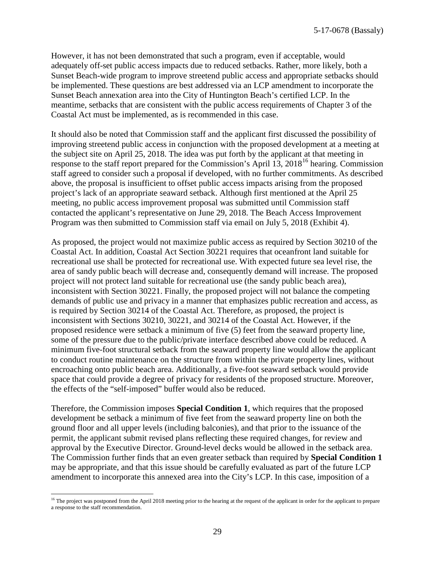However, it has not been demonstrated that such a program, even if acceptable, would adequately off-set public access impacts due to reduced setbacks. Rather, more likely, both a Sunset Beach-wide program to improve streetend public access and appropriate setbacks should be implemented. These questions are best addressed via an LCP amendment to incorporate the Sunset Beach annexation area into the City of Huntington Beach's certified LCP. In the meantime, setbacks that are consistent with the public access requirements of Chapter 3 of the Coastal Act must be implemented, as is recommended in this case.

It should also be noted that Commission staff and the applicant first discussed the possibility of improving streetend public access in conjunction with the proposed development at a meeting at the subject site on April 25, 2018. The idea was put forth by the applicant at that meeting in response to the staff report prepared for the Commission's April 13,  $2018^{16}$  hearing. Commission staff agreed to consider such a proposal if developed, with no further commitments. As described above, the proposal is insufficient to offset public access impacts arising from the proposed project's lack of an appropriate seaward setback. Although first mentioned at the April 25 meeting, no public access improvement proposal was submitted until Commission staff contacted the applicant's representative on June 29, 2018. The Beach Access Improvement Program was then submitted to Commission staff via email on July 5, 2018 (Exhibit 4).

As proposed, the project would not maximize public access as required by Section 30210 of the Coastal Act. In addition, Coastal Act Section 30221 requires that oceanfront land suitable for recreational use shall be protected for recreational use. With expected future sea level rise, the area of sandy public beach will decrease and, consequently demand will increase. The proposed project will not protect land suitable for recreational use (the sandy public beach area), inconsistent with Section 30221. Finally, the proposed project will not balance the competing demands of public use and privacy in a manner that emphasizes public recreation and access, as is required by Section 30214 of the Coastal Act. Therefore, as proposed, the project is inconsistent with Sections 30210, 30221, and 30214 of the Coastal Act. However, if the proposed residence were setback a minimum of five (5) feet from the seaward property line, some of the pressure due to the public/private interface described above could be reduced. A minimum five-foot structural setback from the seaward property line would allow the applicant to conduct routine maintenance on the structure from within the private property lines, without encroaching onto public beach area. Additionally, a five-foot seaward setback would provide space that could provide a degree of privacy for residents of the proposed structure. Moreover, the effects of the "self-imposed" buffer would also be reduced.

Therefore, the Commission imposes **Special Condition 1**, which requires that the proposed development be setback a minimum of five feet from the seaward property line on both the ground floor and all upper levels (including balconies), and that prior to the issuance of the permit, the applicant submit revised plans reflecting these required changes, for review and approval by the Executive Director. Ground-level decks would be allowed in the setback area. The Commission further finds that an even greater setback than required by **Special Condition 1** may be appropriate, and that this issue should be carefully evaluated as part of the future LCP amendment to incorporate this annexed area into the City's LCP. In this case, imposition of a

<span id="page-28-0"></span> $\overline{a}$ <sup>16</sup> The project was postponed from the April 2018 meeting prior to the hearing at the request of the applicant in order for the applicant to prepare a response to the staff recommendation.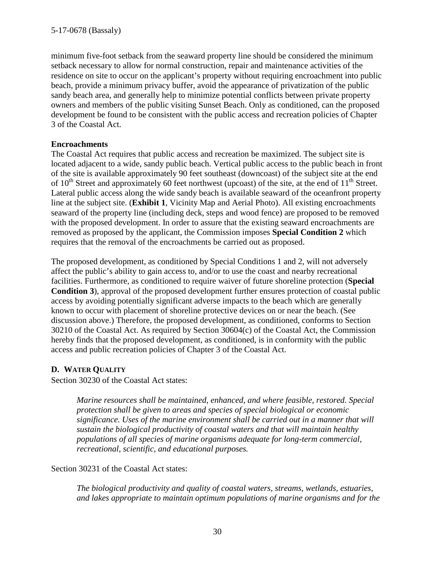minimum five-foot setback from the seaward property line should be considered the minimum setback necessary to allow for normal construction, repair and maintenance activities of the residence on site to occur on the applicant's property without requiring encroachment into public beach, provide a minimum privacy buffer, avoid the appearance of privatization of the public sandy beach area, and generally help to minimize potential conflicts between private property owners and members of the public visiting Sunset Beach. Only as conditioned, can the proposed development be found to be consistent with the public access and recreation policies of Chapter 3 of the Coastal Act.

# **Encroachments**

The Coastal Act requires that public access and recreation be maximized. The subject site is located adjacent to a wide, sandy public beach. Vertical public access to the public beach in front of the site is available approximately 90 feet southeast (downcoast) of the subject site at the end of  $10^{th}$  Street and approximately 60 feet northwest (upcoast) of the site, at the end of  $11^{th}$  Street. Lateral public access along the wide sandy beach is available seaward of the oceanfront property line at the subject site. (**Exhibit 1**, Vicinity Map and Aerial Photo). All existing encroachments seaward of the property line (including deck, steps and wood fence) are proposed to be removed with the proposed development. In order to assure that the existing seaward encroachments are removed as proposed by the applicant, the Commission imposes **Special Condition 2** which requires that the removal of the encroachments be carried out as proposed.

The proposed development, as conditioned by Special Conditions 1 and 2, will not adversely affect the public's ability to gain access to, and/or to use the coast and nearby recreational facilities. Furthermore, as conditioned to require waiver of future shoreline protection (**Special Condition 3**), approval of the proposed development further ensures protection of coastal public access by avoiding potentially significant adverse impacts to the beach which are generally known to occur with placement of shoreline protective devices on or near the beach. (See discussion above.) Therefore, the proposed development, as conditioned, conforms to Section 30210 of the Coastal Act. As required by Section 30604(c) of the Coastal Act, the Commission hereby finds that the proposed development, as conditioned, is in conformity with the public access and public recreation policies of Chapter 3 of the Coastal Act.

# **D. WATER QUALITY**

Section 30230 of the Coastal Act states:

*Marine resources shall be maintained, enhanced, and where feasible, restored. Special protection shall be given to areas and species of special biological or economic significance. Uses of the marine environment shall be carried out in a manner that will sustain the biological productivity of coastal waters and that will maintain healthy populations of all species of marine organisms adequate for long-term commercial, recreational, scientific, and educational purposes.* 

Section 30231 of the Coastal Act states:

*The biological productivity and quality of coastal waters, streams, wetlands, estuaries, and lakes appropriate to maintain optimum populations of marine organisms and for the*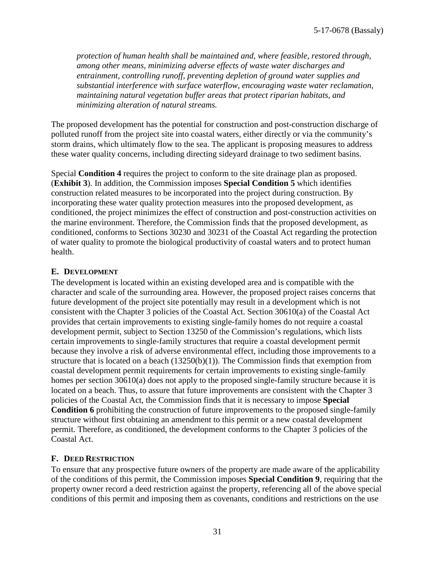*protection of human health shall be maintained and, where feasible, restored through, among other means, minimizing adverse effects of waste water discharges and entrainment, controlling runoff, preventing depletion of ground water supplies and substantial interference with surface waterflow, encouraging waste water reclamation, maintaining natural vegetation buffer areas that protect riparian habitats, and minimizing alteration of natural streams.* 

The proposed development has the potential for construction and post-construction discharge of polluted runoff from the project site into coastal waters, either directly or via the community's storm drains, which ultimately flow to the sea. The applicant is proposing measures to address these water quality concerns, including directing sideyard drainage to two sediment basins.

Special **Condition 4** requires the project to conform to the site drainage plan as proposed. (**Exhibit 3**). In addition, the Commission imposes **Special Condition 5** which identifies construction related measures to be incorporated into the project during construction. By incorporating these water quality protection measures into the proposed development, as conditioned, the project minimizes the effect of construction and post-construction activities on the marine environment. Therefore, the Commission finds that the proposed development, as conditioned, conforms to Sections 30230 and 30231 of the Coastal Act regarding the protection of water quality to promote the biological productivity of coastal waters and to protect human health.

#### **E. DEVELOPMENT**

The development is located within an existing developed area and is compatible with the character and scale of the surrounding area. However, the proposed project raises concerns that future development of the project site potentially may result in a development which is not consistent with the Chapter 3 policies of the Coastal Act. Section 30610(a) of the Coastal Act provides that certain improvements to existing single-family homes do not require a coastal development permit, subject to Section 13250 of the Commission's regulations, which lists certain improvements to single-family structures that require a coastal development permit because they involve a risk of adverse environmental effect, including those improvements to a structure that is located on a beach  $(13250(b)(1))$ . The Commission finds that exemption from coastal development permit requirements for certain improvements to existing single-family homes per section 30610(a) does not apply to the proposed single-family structure because it is located on a beach. Thus, to assure that future improvements are consistent with the Chapter 3 policies of the Coastal Act, the Commission finds that it is necessary to impose **Special Condition 6** prohibiting the construction of future improvements to the proposed single-family structure without first obtaining an amendment to this permit or a new coastal development permit. Therefore, as conditioned, the development conforms to the Chapter 3 policies of the Coastal Act.

# **F. DEED RESTRICTION**

To ensure that any prospective future owners of the property are made aware of the applicability of the conditions of this permit, the Commission imposes **Special Condition 9**, requiring that the property owner record a deed restriction against the property, referencing all of the above special conditions of this permit and imposing them as covenants, conditions and restrictions on the use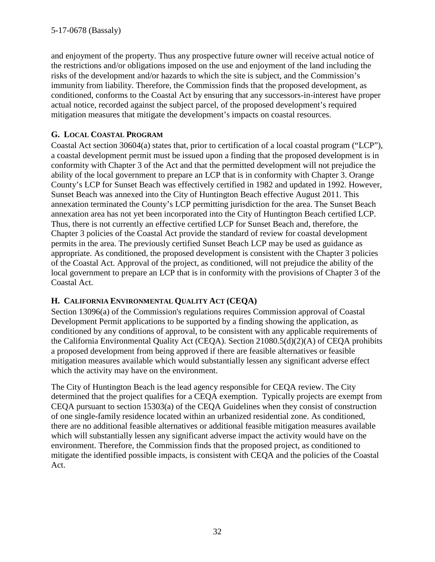and enjoyment of the property. Thus any prospective future owner will receive actual notice of the restrictions and/or obligations imposed on the use and enjoyment of the land including the risks of the development and/or hazards to which the site is subject, and the Commission's immunity from liability. Therefore, the Commission finds that the proposed development, as conditioned, conforms to the Coastal Act by ensuring that any successors-in-interest have proper actual notice, recorded against the subject parcel, of the proposed development's required mitigation measures that mitigate the development's impacts on coastal resources.

# **G. LOCAL COASTAL PROGRAM**

Coastal Act section 30604(a) states that, prior to certification of a local coastal program ("LCP"), a coastal development permit must be issued upon a finding that the proposed development is in conformity with Chapter 3 of the Act and that the permitted development will not prejudice the ability of the local government to prepare an LCP that is in conformity with Chapter 3. Orange County's LCP for Sunset Beach was effectively certified in 1982 and updated in 1992. However, Sunset Beach was annexed into the City of Huntington Beach effective August 2011. This annexation terminated the County's LCP permitting jurisdiction for the area. The Sunset Beach annexation area has not yet been incorporated into the City of Huntington Beach certified LCP. Thus, there is not currently an effective certified LCP for Sunset Beach and, therefore, the Chapter 3 policies of the Coastal Act provide the standard of review for coastal development permits in the area. The previously certified Sunset Beach LCP may be used as guidance as appropriate. As conditioned, the proposed development is consistent with the Chapter 3 policies of the Coastal Act. Approval of the project, as conditioned, will not prejudice the ability of the local government to prepare an LCP that is in conformity with the provisions of Chapter 3 of the Coastal Act.

# **H. CALIFORNIA ENVIRONMENTAL QUALITY ACT (CEQA)**

Section 13096(a) of the Commission's regulations requires Commission approval of Coastal Development Permit applications to be supported by a finding showing the application, as conditioned by any conditions of approval, to be consistent with any applicable requirements of the California Environmental Quality Act (CEQA). Section 21080.5(d)(2)(A) of CEQA prohibits a proposed development from being approved if there are feasible alternatives or feasible mitigation measures available which would substantially lessen any significant adverse effect which the activity may have on the environment.

The City of Huntington Beach is the lead agency responsible for CEQA review. The City determined that the project qualifies for a CEQA exemption. Typically projects are exempt from CEQA pursuant to section 15303(a) of the CEQA Guidelines when they consist of construction of one single-family residence located within an urbanized residential zone. As conditioned, there are no additional feasible alternatives or additional feasible mitigation measures available which will substantially lessen any significant adverse impact the activity would have on the environment. Therefore, the Commission finds that the proposed project, as conditioned to mitigate the identified possible impacts, is consistent with CEQA and the policies of the Coastal Act.